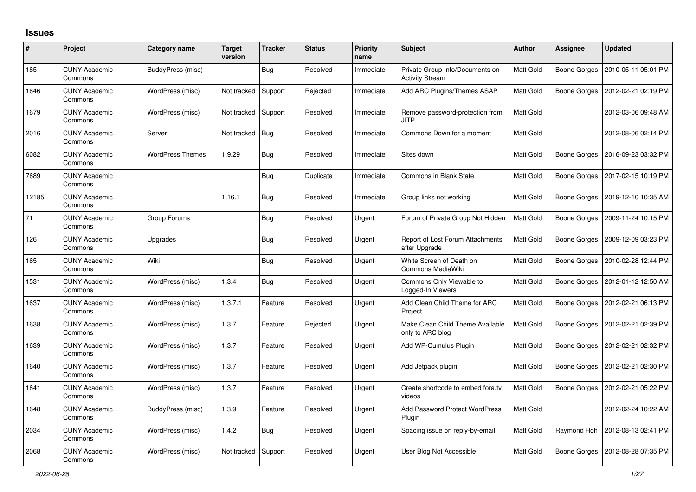## **Issues**

| #     | Project                         | Category name           | <b>Target</b><br>version | <b>Tracker</b> | <b>Status</b> | <b>Priority</b><br>name | <b>Subject</b>                                            | <b>Author</b>    | Assignee            | <b>Updated</b>      |
|-------|---------------------------------|-------------------------|--------------------------|----------------|---------------|-------------------------|-----------------------------------------------------------|------------------|---------------------|---------------------|
| 185   | <b>CUNY Academic</b><br>Commons | BuddyPress (misc)       |                          | Bug            | Resolved      | Immediate               | Private Group Info/Documents on<br><b>Activity Stream</b> | <b>Matt Gold</b> | Boone Gorges        | 2010-05-11 05:01 PM |
| 1646  | <b>CUNY Academic</b><br>Commons | WordPress (misc)        | Not tracked              | Support        | Rejected      | Immediate               | Add ARC Plugins/Themes ASAP                               | <b>Matt Gold</b> | Boone Gorges        | 2012-02-21 02:19 PM |
| 1679  | <b>CUNY Academic</b><br>Commons | WordPress (misc)        | Not tracked              | Support        | Resolved      | Immediate               | Remove password-protection from<br>JITP                   | Matt Gold        |                     | 2012-03-06 09:48 AM |
| 2016  | <b>CUNY Academic</b><br>Commons | Server                  | Not tracked              | <b>Bug</b>     | Resolved      | Immediate               | Commons Down for a moment                                 | Matt Gold        |                     | 2012-08-06 02:14 PM |
| 6082  | <b>CUNY Academic</b><br>Commons | <b>WordPress Themes</b> | 1.9.29                   | Bug            | Resolved      | Immediate               | Sites down                                                | Matt Gold        | Boone Gorges        | 2016-09-23 03:32 PM |
| 7689  | <b>CUNY Academic</b><br>Commons |                         |                          | <b>Bug</b>     | Duplicate     | Immediate               | Commons in Blank State                                    | Matt Gold        | <b>Boone Gorges</b> | 2017-02-15 10:19 PM |
| 12185 | <b>CUNY Academic</b><br>Commons |                         | 1.16.1                   | <b>Bug</b>     | Resolved      | Immediate               | Group links not working                                   | Matt Gold        | Boone Gorges        | 2019-12-10 10:35 AM |
| 71    | <b>CUNY Academic</b><br>Commons | Group Forums            |                          | <b>Bug</b>     | Resolved      | Urgent                  | Forum of Private Group Not Hidden                         | <b>Matt Gold</b> | Boone Gorges        | 2009-11-24 10:15 PM |
| 126   | <b>CUNY Academic</b><br>Commons | Upgrades                |                          | Bug            | Resolved      | Urgent                  | Report of Lost Forum Attachments<br>after Upgrade         | Matt Gold        | Boone Gorges        | 2009-12-09 03:23 PM |
| 165   | <b>CUNY Academic</b><br>Commons | Wiki                    |                          | <b>Bug</b>     | Resolved      | Urgent                  | White Screen of Death on<br>Commons MediaWiki             | Matt Gold        | Boone Gorges        | 2010-02-28 12:44 PM |
| 1531  | <b>CUNY Academic</b><br>Commons | WordPress (misc)        | 1.3.4                    | Bug            | Resolved      | Urgent                  | Commons Only Viewable to<br>Logged-In Viewers             | <b>Matt Gold</b> | Boone Gorges        | 2012-01-12 12:50 AM |
| 1637  | <b>CUNY Academic</b><br>Commons | WordPress (misc)        | 1.3.7.1                  | Feature        | Resolved      | Urgent                  | Add Clean Child Theme for ARC<br>Project                  | Matt Gold        | Boone Gorges        | 2012-02-21 06:13 PM |
| 1638  | <b>CUNY Academic</b><br>Commons | WordPress (misc)        | 1.3.7                    | Feature        | Rejected      | Urgent                  | Make Clean Child Theme Available<br>only to ARC blog      | Matt Gold        | Boone Gorges        | 2012-02-21 02:39 PM |
| 1639  | <b>CUNY Academic</b><br>Commons | WordPress (misc)        | 1.3.7                    | Feature        | Resolved      | Urgent                  | Add WP-Cumulus Plugin                                     | Matt Gold        | Boone Gorges        | 2012-02-21 02:32 PM |
| 1640  | <b>CUNY Academic</b><br>Commons | WordPress (misc)        | 1.3.7                    | Feature        | Resolved      | Urgent                  | Add Jetpack plugin                                        | Matt Gold        | Boone Gorges        | 2012-02-21 02:30 PM |
| 1641  | <b>CUNY Academic</b><br>Commons | WordPress (misc)        | 1.3.7                    | Feature        | Resolved      | Urgent                  | Create shortcode to embed fora.tv<br>videos               | <b>Matt Gold</b> | Boone Gorges        | 2012-02-21 05:22 PM |
| 1648  | <b>CUNY Academic</b><br>Commons | BuddyPress (misc)       | 1.3.9                    | Feature        | Resolved      | Urgent                  | <b>Add Password Protect WordPress</b><br>Plugin           | Matt Gold        |                     | 2012-02-24 10:22 AM |
| 2034  | <b>CUNY Academic</b><br>Commons | WordPress (misc)        | 1.4.2                    | <b>Bug</b>     | Resolved      | Urgent                  | Spacing issue on reply-by-email                           | Matt Gold        | Raymond Hoh         | 2012-08-13 02:41 PM |
| 2068  | <b>CUNY Academic</b><br>Commons | WordPress (misc)        | Not tracked              | Support        | Resolved      | Urgent                  | User Blog Not Accessible                                  | Matt Gold        | Boone Gorges        | 2012-08-28 07:35 PM |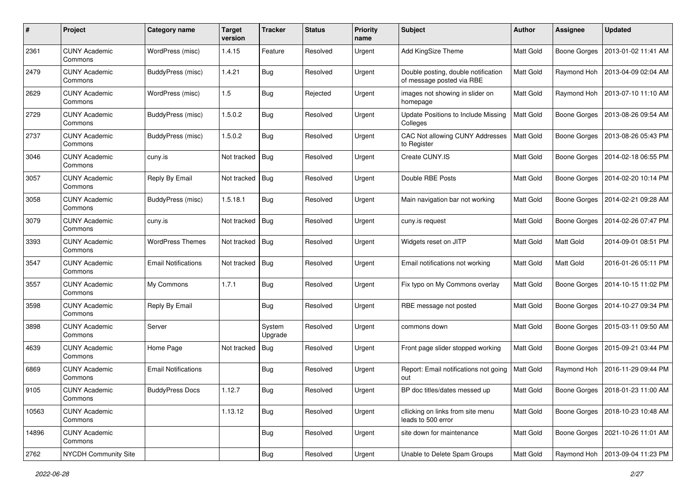| #     | Project                         | Category name              | <b>Target</b><br>version | <b>Tracker</b>    | <b>Status</b> | <b>Priority</b><br>name | <b>Subject</b>                                                   | Author           | <b>Assignee</b>     | <b>Updated</b>                     |
|-------|---------------------------------|----------------------------|--------------------------|-------------------|---------------|-------------------------|------------------------------------------------------------------|------------------|---------------------|------------------------------------|
| 2361  | <b>CUNY Academic</b><br>Commons | WordPress (misc)           | 1.4.15                   | Feature           | Resolved      | Urgent                  | Add KingSize Theme                                               | Matt Gold        | <b>Boone Gorges</b> | 2013-01-02 11:41 AM                |
| 2479  | <b>CUNY Academic</b><br>Commons | BuddyPress (misc)          | 1.4.21                   | Bug               | Resolved      | Urgent                  | Double posting, double notification<br>of message posted via RBE | Matt Gold        | Raymond Hoh         | 2013-04-09 02:04 AM                |
| 2629  | <b>CUNY Academic</b><br>Commons | WordPress (misc)           | 1.5                      | Bug               | Rejected      | Urgent                  | images not showing in slider on<br>homepage                      | Matt Gold        | Raymond Hoh         | 2013-07-10 11:10 AM                |
| 2729  | <b>CUNY Academic</b><br>Commons | BuddyPress (misc)          | 1.5.0.2                  | <b>Bug</b>        | Resolved      | Urgent                  | Update Positions to Include Missing<br>Colleges                  | Matt Gold        | <b>Boone Gorges</b> | 2013-08-26 09:54 AM                |
| 2737  | <b>CUNY Academic</b><br>Commons | BuddyPress (misc)          | 1.5.0.2                  | Bug               | Resolved      | Urgent                  | CAC Not allowing CUNY Addresses<br>to Register                   | Matt Gold        | <b>Boone Gorges</b> | 2013-08-26 05:43 PM                |
| 3046  | <b>CUNY Academic</b><br>Commons | cuny.is                    | Not tracked              | Bug               | Resolved      | Urgent                  | Create CUNY.IS                                                   | Matt Gold        | Boone Gorges        | 2014-02-18 06:55 PM                |
| 3057  | <b>CUNY Academic</b><br>Commons | Reply By Email             | Not tracked              | Bug               | Resolved      | Urgent                  | Double RBE Posts                                                 | Matt Gold        | <b>Boone Gorges</b> | 2014-02-20 10:14 PM                |
| 3058  | <b>CUNY Academic</b><br>Commons | <b>BuddyPress (misc)</b>   | 1.5.18.1                 | <b>Bug</b>        | Resolved      | Urgent                  | Main navigation bar not working                                  | Matt Gold        | <b>Boone Gorges</b> | 2014-02-21 09:28 AM                |
| 3079  | <b>CUNY Academic</b><br>Commons | cuny.is                    | Not tracked              | Bug               | Resolved      | Urgent                  | cuny.is request                                                  | Matt Gold        | <b>Boone Gorges</b> | 2014-02-26 07:47 PM                |
| 3393  | <b>CUNY Academic</b><br>Commons | <b>WordPress Themes</b>    | Not tracked              | Bug               | Resolved      | Urgent                  | Widgets reset on JITP                                            | <b>Matt Gold</b> | Matt Gold           | 2014-09-01 08:51 PM                |
| 3547  | <b>CUNY Academic</b><br>Commons | <b>Email Notifications</b> | Not tracked              | Bug               | Resolved      | Urgent                  | Email notifications not working                                  | Matt Gold        | Matt Gold           | 2016-01-26 05:11 PM                |
| 3557  | <b>CUNY Academic</b><br>Commons | My Commons                 | 1.7.1                    | Bug               | Resolved      | Urgent                  | Fix typo on My Commons overlay                                   | Matt Gold        | <b>Boone Gorges</b> | 2014-10-15 11:02 PM                |
| 3598  | <b>CUNY Academic</b><br>Commons | Reply By Email             |                          | Bug               | Resolved      | Urgent                  | RBE message not posted                                           | Matt Gold        | <b>Boone Gorges</b> | 2014-10-27 09:34 PM                |
| 3898  | <b>CUNY Academic</b><br>Commons | Server                     |                          | System<br>Upgrade | Resolved      | Urgent                  | commons down                                                     | <b>Matt Gold</b> | <b>Boone Gorges</b> | 2015-03-11 09:50 AM                |
| 4639  | <b>CUNY Academic</b><br>Commons | Home Page                  | Not tracked              | Bug               | Resolved      | Urgent                  | Front page slider stopped working                                | Matt Gold        | <b>Boone Gorges</b> | 2015-09-21 03:44 PM                |
| 6869  | <b>CUNY Academic</b><br>Commons | <b>Email Notifications</b> |                          | Bug               | Resolved      | Urgent                  | Report: Email notifications not going<br>out                     | <b>Matt Gold</b> | Raymond Hoh         | 2016-11-29 09:44 PM                |
| 9105  | <b>CUNY Academic</b><br>Commons | <b>BuddyPress Docs</b>     | 1.12.7                   | Bug               | Resolved      | Urgent                  | BP doc titles/dates messed up                                    | Matt Gold        |                     | Boone Gorges   2018-01-23 11:00 AM |
| 10563 | <b>CUNY Academic</b><br>Commons |                            | 1.13.12                  | <b>Bug</b>        | Resolved      | Urgent                  | cllicking on links from site menu<br>leads to 500 error          | Matt Gold        | <b>Boone Gorges</b> | 2018-10-23 10:48 AM                |
| 14896 | <b>CUNY Academic</b><br>Commons |                            |                          | <b>Bug</b>        | Resolved      | Urgent                  | site down for maintenance                                        | Matt Gold        | <b>Boone Gorges</b> | 2021-10-26 11:01 AM                |
| 2762  | NYCDH Community Site            |                            |                          | Bug               | Resolved      | Urgent                  | Unable to Delete Spam Groups                                     | Matt Gold        | Raymond Hoh         | 2013-09-04 11:23 PM                |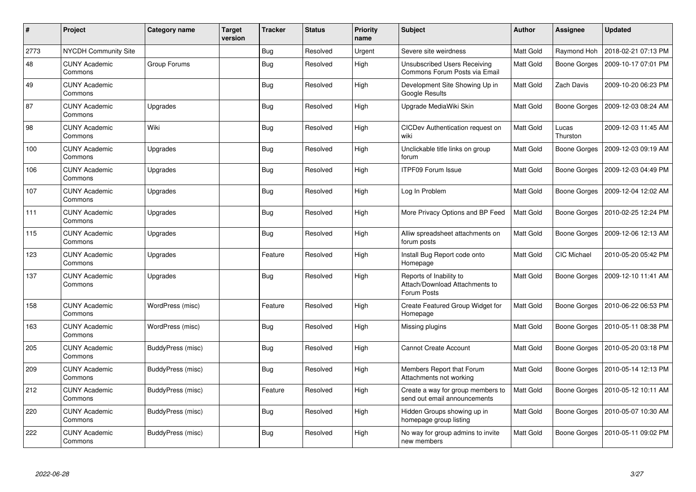| $\pmb{\#}$ | Project                         | Category name     | <b>Target</b><br>version | <b>Tracker</b> | <b>Status</b> | <b>Priority</b><br>name | <b>Subject</b>                                                           | <b>Author</b>    | Assignee          | <b>Updated</b>      |
|------------|---------------------------------|-------------------|--------------------------|----------------|---------------|-------------------------|--------------------------------------------------------------------------|------------------|-------------------|---------------------|
| 2773       | NYCDH Community Site            |                   |                          | Bug            | Resolved      | Urgent                  | Severe site weirdness                                                    | Matt Gold        | Raymond Hoh       | 2018-02-21 07:13 PM |
| 48         | <b>CUNY Academic</b><br>Commons | Group Forums      |                          | <b>Bug</b>     | Resolved      | High                    | <b>Unsubscribed Users Receiving</b><br>Commons Forum Posts via Email     | Matt Gold        | Boone Gorges      | 2009-10-17 07:01 PM |
| 49         | <b>CUNY Academic</b><br>Commons |                   |                          | Bug            | Resolved      | High                    | Development Site Showing Up in<br><b>Google Results</b>                  | Matt Gold        | <b>Zach Davis</b> | 2009-10-20 06:23 PM |
| 87         | <b>CUNY Academic</b><br>Commons | Upgrades          |                          | <b>Bug</b>     | Resolved      | High                    | Upgrade MediaWiki Skin                                                   | Matt Gold        | Boone Gorges      | 2009-12-03 08:24 AM |
| 98         | <b>CUNY Academic</b><br>Commons | Wiki              |                          | <b>Bug</b>     | Resolved      | High                    | CICDev Authentication request on<br>wiki                                 | Matt Gold        | Lucas<br>Thurston | 2009-12-03 11:45 AM |
| 100        | <b>CUNY Academic</b><br>Commons | Upgrades          |                          | Bug            | Resolved      | High                    | Unclickable title links on group<br>forum                                | <b>Matt Gold</b> | Boone Gorges      | 2009-12-03 09:19 AM |
| 106        | <b>CUNY Academic</b><br>Commons | Upgrades          |                          | <b>Bug</b>     | Resolved      | High                    | <b>ITPF09 Forum Issue</b>                                                | Matt Gold        | Boone Gorges      | 2009-12-03 04:49 PM |
| 107        | <b>CUNY Academic</b><br>Commons | Upgrades          |                          | Bug            | Resolved      | High                    | Log In Problem                                                           | Matt Gold        | Boone Gorges      | 2009-12-04 12:02 AM |
| 111        | <b>CUNY Academic</b><br>Commons | Upgrades          |                          | Bug            | Resolved      | High                    | More Privacy Options and BP Feed                                         | <b>Matt Gold</b> | Boone Gorges      | 2010-02-25 12:24 PM |
| 115        | <b>CUNY Academic</b><br>Commons | Upgrades          |                          | <b>Bug</b>     | Resolved      | High                    | Alliw spreadsheet attachments on<br>forum posts                          | Matt Gold        | Boone Gorges      | 2009-12-06 12:13 AM |
| 123        | <b>CUNY Academic</b><br>Commons | Upgrades          |                          | Feature        | Resolved      | High                    | Install Bug Report code onto<br>Homepage                                 | <b>Matt Gold</b> | CIC Michael       | 2010-05-20 05:42 PM |
| 137        | <b>CUNY Academic</b><br>Commons | Upgrades          |                          | <b>Bug</b>     | Resolved      | High                    | Reports of Inability to<br>Attach/Download Attachments to<br>Forum Posts | Matt Gold        | Boone Gorges      | 2009-12-10 11:41 AM |
| 158        | <b>CUNY Academic</b><br>Commons | WordPress (misc)  |                          | Feature        | Resolved      | High                    | Create Featured Group Widget for<br>Homepage                             | Matt Gold        | Boone Gorges      | 2010-06-22 06:53 PM |
| 163        | <b>CUNY Academic</b><br>Commons | WordPress (misc)  |                          | Bug            | Resolved      | High                    | Missing plugins                                                          | Matt Gold        | Boone Gorges      | 2010-05-11 08:38 PM |
| 205        | <b>CUNY Academic</b><br>Commons | BuddyPress (misc) |                          | <b>Bug</b>     | Resolved      | High                    | <b>Cannot Create Account</b>                                             | Matt Gold        | Boone Gorges      | 2010-05-20 03:18 PM |
| 209        | <b>CUNY Academic</b><br>Commons | BuddyPress (misc) |                          | <b>Bug</b>     | Resolved      | High                    | Members Report that Forum<br>Attachments not working                     | Matt Gold        | Boone Gorges      | 2010-05-14 12:13 PM |
| 212        | <b>CUNY Academic</b><br>Commons | BuddyPress (misc) |                          | Feature        | Resolved      | High                    | Create a way for group members to<br>send out email announcements        | <b>Matt Gold</b> | Boone Gorges      | 2010-05-12 10:11 AM |
| 220        | <b>CUNY Academic</b><br>Commons | BuddyPress (misc) |                          | <b>Bug</b>     | Resolved      | High                    | Hidden Groups showing up in<br>homepage group listing                    | Matt Gold        | Boone Gorges      | 2010-05-07 10:30 AM |
| 222        | <b>CUNY Academic</b><br>Commons | BuddyPress (misc) |                          | <b>Bug</b>     | Resolved      | High                    | No way for group admins to invite<br>new members                         | Matt Gold        | Boone Gorges      | 2010-05-11 09:02 PM |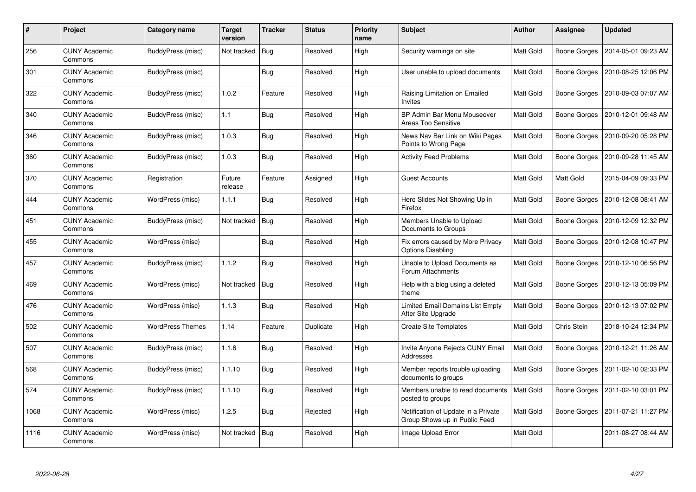| #    | Project                         | Category name           | Target<br>version | <b>Tracker</b> | <b>Status</b> | <b>Priority</b><br>name | <b>Subject</b>                                                       | <b>Author</b>    | Assignee            | <b>Updated</b>      |
|------|---------------------------------|-------------------------|-------------------|----------------|---------------|-------------------------|----------------------------------------------------------------------|------------------|---------------------|---------------------|
| 256  | <b>CUNY Academic</b><br>Commons | BuddyPress (misc)       | Not tracked       | Bug            | Resolved      | High                    | Security warnings on site                                            | Matt Gold        | <b>Boone Gorges</b> | 2014-05-01 09:23 AM |
| 301  | <b>CUNY Academic</b><br>Commons | BuddyPress (misc)       |                   | Bug            | Resolved      | High                    | User unable to upload documents                                      | <b>Matt Gold</b> | Boone Gorges        | 2010-08-25 12:06 PM |
| 322  | <b>CUNY Academic</b><br>Commons | BuddyPress (misc)       | 1.0.2             | Feature        | Resolved      | High                    | Raising Limitation on Emailed<br>Invites                             | Matt Gold        | <b>Boone Gorges</b> | 2010-09-03 07:07 AM |
| 340  | <b>CUNY Academic</b><br>Commons | BuddyPress (misc)       | 1.1               | <b>Bug</b>     | Resolved      | High                    | BP Admin Bar Menu Mouseover<br>Areas Too Sensitive                   | Matt Gold        | <b>Boone Gorges</b> | 2010-12-01 09:48 AM |
| 346  | <b>CUNY Academic</b><br>Commons | BuddyPress (misc)       | 1.0.3             | Bug            | Resolved      | High                    | News Nav Bar Link on Wiki Pages<br>Points to Wrong Page              | Matt Gold        | <b>Boone Gorges</b> | 2010-09-20 05:28 PM |
| 360  | <b>CUNY Academic</b><br>Commons | BuddyPress (misc)       | 1.0.3             | <b>Bug</b>     | Resolved      | High                    | <b>Activity Feed Problems</b>                                        | Matt Gold        | Boone Gorges        | 2010-09-28 11:45 AM |
| 370  | <b>CUNY Academic</b><br>Commons | Registration            | Future<br>release | Feature        | Assigned      | High                    | <b>Guest Accounts</b>                                                | Matt Gold        | Matt Gold           | 2015-04-09 09:33 PM |
| 444  | <b>CUNY Academic</b><br>Commons | WordPress (misc)        | 1.1.1             | <b>Bug</b>     | Resolved      | High                    | Hero Slides Not Showing Up in<br>Firefox                             | Matt Gold        | Boone Gorges        | 2010-12-08 08:41 AM |
| 451  | <b>CUNY Academic</b><br>Commons | BuddyPress (misc)       | Not tracked       | <b>Bug</b>     | Resolved      | High                    | Members Unable to Upload<br>Documents to Groups                      | Matt Gold        | <b>Boone Gorges</b> | 2010-12-09 12:32 PM |
| 455  | <b>CUNY Academic</b><br>Commons | WordPress (misc)        |                   | <b>Bug</b>     | Resolved      | High                    | Fix errors caused by More Privacy<br><b>Options Disabling</b>        | Matt Gold        | Boone Gorges        | 2010-12-08 10:47 PM |
| 457  | <b>CUNY Academic</b><br>Commons | BuddyPress (misc)       | 1.1.2             | Bug            | Resolved      | High                    | Unable to Upload Documents as<br>Forum Attachments                   | <b>Matt Gold</b> | Boone Gorges        | 2010-12-10 06:56 PM |
| 469  | <b>CUNY Academic</b><br>Commons | WordPress (misc)        | Not tracked       | Bug            | Resolved      | High                    | Help with a blog using a deleted<br>theme                            | Matt Gold        | <b>Boone Gorges</b> | 2010-12-13 05:09 PM |
| 476  | <b>CUNY Academic</b><br>Commons | WordPress (misc)        | 1.1.3             | <b>Bug</b>     | Resolved      | High                    | Limited Email Domains List Empty<br>After Site Upgrade               | Matt Gold        | Boone Gorges        | 2010-12-13 07:02 PM |
| 502  | <b>CUNY Academic</b><br>Commons | <b>WordPress Themes</b> | 1.14              | Feature        | Duplicate     | High                    | <b>Create Site Templates</b>                                         | Matt Gold        | Chris Stein         | 2018-10-24 12:34 PM |
| 507  | <b>CUNY Academic</b><br>Commons | BuddyPress (misc)       | 1.1.6             | <b>Bug</b>     | Resolved      | High                    | Invite Anyone Rejects CUNY Email<br>Addresses                        | Matt Gold        | Boone Gorges        | 2010-12-21 11:26 AM |
| 568  | <b>CUNY Academic</b><br>Commons | BuddyPress (misc)       | 1.1.10            | <b>Bug</b>     | Resolved      | High                    | Member reports trouble uploading<br>documents to groups              | Matt Gold        | Boone Gorges        | 2011-02-10 02:33 PM |
| 574  | <b>CUNY Academic</b><br>Commons | BuddyPress (misc)       | 1.1.10            | Bug            | Resolved      | High                    | Members unable to read documents<br>posted to groups                 | Matt Gold        | Boone Gorges        | 2011-02-10 03:01 PM |
| 1068 | <b>CUNY Academic</b><br>Commons | WordPress (misc)        | 1.2.5             | <b>Bug</b>     | Rejected      | High                    | Notification of Update in a Private<br>Group Shows up in Public Feed | Matt Gold        | Boone Gorges        | 2011-07-21 11:27 PM |
| 1116 | <b>CUNY Academic</b><br>Commons | WordPress (misc)        | Not tracked       | Bug            | Resolved      | High                    | Image Upload Error                                                   | Matt Gold        |                     | 2011-08-27 08:44 AM |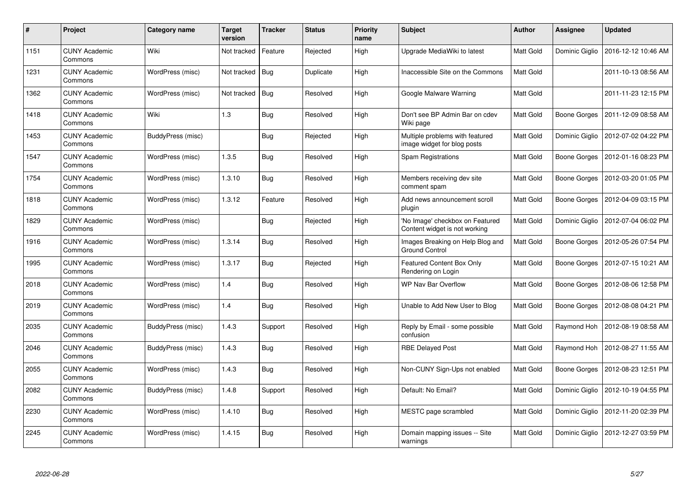| #    | Project                         | <b>Category name</b> | <b>Target</b><br>version | <b>Tracker</b> | <b>Status</b> | <b>Priority</b><br>name | <b>Subject</b>                                                   | <b>Author</b>    | Assignee       | <b>Updated</b>                     |
|------|---------------------------------|----------------------|--------------------------|----------------|---------------|-------------------------|------------------------------------------------------------------|------------------|----------------|------------------------------------|
| 1151 | <b>CUNY Academic</b><br>Commons | Wiki                 | Not tracked              | Feature        | Rejected      | High                    | Upgrade MediaWiki to latest                                      | <b>Matt Gold</b> | Dominic Giglio | 2016-12-12 10:46 AM                |
| 1231 | <b>CUNY Academic</b><br>Commons | WordPress (misc)     | Not tracked              | Bug            | Duplicate     | High                    | Inaccessible Site on the Commons                                 | Matt Gold        |                | 2011-10-13 08:56 AM                |
| 1362 | <b>CUNY Academic</b><br>Commons | WordPress (misc)     | Not tracked              | Bug            | Resolved      | High                    | Google Malware Warning                                           | Matt Gold        |                | 2011-11-23 12:15 PM                |
| 1418 | <b>CUNY Academic</b><br>Commons | Wiki                 | 1.3                      | <b>Bug</b>     | Resolved      | High                    | Don't see BP Admin Bar on cdev<br>Wiki page                      | Matt Gold        | Boone Gorges   | 2011-12-09 08:58 AM                |
| 1453 | <b>CUNY Academic</b><br>Commons | BuddyPress (misc)    |                          | <b>Bug</b>     | Rejected      | High                    | Multiple problems with featured<br>image widget for blog posts   | <b>Matt Gold</b> | Dominic Giglio | 2012-07-02 04:22 PM                |
| 1547 | <b>CUNY Academic</b><br>Commons | WordPress (misc)     | 1.3.5                    | <b>Bug</b>     | Resolved      | High                    | Spam Registrations                                               | Matt Gold        | Boone Gorges   | 2012-01-16 08:23 PM                |
| 1754 | <b>CUNY Academic</b><br>Commons | WordPress (misc)     | 1.3.10                   | Bug            | Resolved      | High                    | Members receiving dev site<br>comment spam                       | <b>Matt Gold</b> | Boone Gorges   | 2012-03-20 01:05 PM                |
| 1818 | <b>CUNY Academic</b><br>Commons | WordPress (misc)     | 1.3.12                   | Feature        | Resolved      | High                    | Add news announcement scroll<br>plugin                           | Matt Gold        | Boone Gorges   | 2012-04-09 03:15 PM                |
| 1829 | <b>CUNY Academic</b><br>Commons | WordPress (misc)     |                          | Bug            | Rejected      | High                    | 'No Image' checkbox on Featured<br>Content widget is not working | Matt Gold        | Dominic Giglio | 2012-07-04 06:02 PM                |
| 1916 | <b>CUNY Academic</b><br>Commons | WordPress (misc)     | 1.3.14                   | <b>Bug</b>     | Resolved      | High                    | Images Breaking on Help Blog and<br><b>Ground Control</b>        | Matt Gold        | Boone Gorges   | 2012-05-26 07:54 PM                |
| 1995 | <b>CUNY Academic</b><br>Commons | WordPress (misc)     | 1.3.17                   | Bug            | Rejected      | High                    | Featured Content Box Only<br>Rendering on Login                  | Matt Gold        | Boone Gorges   | 2012-07-15 10:21 AM                |
| 2018 | <b>CUNY Academic</b><br>Commons | WordPress (misc)     | 1.4                      | <b>Bug</b>     | Resolved      | High                    | WP Nav Bar Overflow                                              | <b>Matt Gold</b> | Boone Gorges   | 2012-08-06 12:58 PM                |
| 2019 | <b>CUNY Academic</b><br>Commons | WordPress (misc)     | 1.4                      | <b>Bug</b>     | Resolved      | High                    | Unable to Add New User to Blog                                   | Matt Gold        | Boone Gorges   | 2012-08-08 04:21 PM                |
| 2035 | <b>CUNY Academic</b><br>Commons | BuddyPress (misc)    | 1.4.3                    | Support        | Resolved      | High                    | Reply by Email - some possible<br>confusion                      | Matt Gold        | Raymond Hoh    | 2012-08-19 08:58 AM                |
| 2046 | <b>CUNY Academic</b><br>Commons | BuddyPress (misc)    | 1.4.3                    | Bug            | Resolved      | High                    | <b>RBE Delayed Post</b>                                          | Matt Gold        | Raymond Hoh    | 2012-08-27 11:55 AM                |
| 2055 | <b>CUNY Academic</b><br>Commons | WordPress (misc)     | 1.4.3                    | Bug            | Resolved      | High                    | Non-CUNY Sign-Ups not enabled                                    | Matt Gold        |                | Boone Gorges   2012-08-23 12:51 PM |
| 2082 | <b>CUNY Academic</b><br>Commons | BuddyPress (misc)    | 1.4.8                    | Support        | Resolved      | High                    | Default: No Email?                                               | Matt Gold        | Dominic Giglio | 2012-10-19 04:55 PM                |
| 2230 | <b>CUNY Academic</b><br>Commons | WordPress (misc)     | 1.4.10                   | <b>Bug</b>     | Resolved      | High                    | MESTC page scrambled                                             | Matt Gold        | Dominic Giglio | 2012-11-20 02:39 PM                |
| 2245 | <b>CUNY Academic</b><br>Commons | WordPress (misc)     | 1.4.15                   | Bug            | Resolved      | High                    | Domain mapping issues -- Site<br>warnings                        | Matt Gold        | Dominic Giglio | 2012-12-27 03:59 PM                |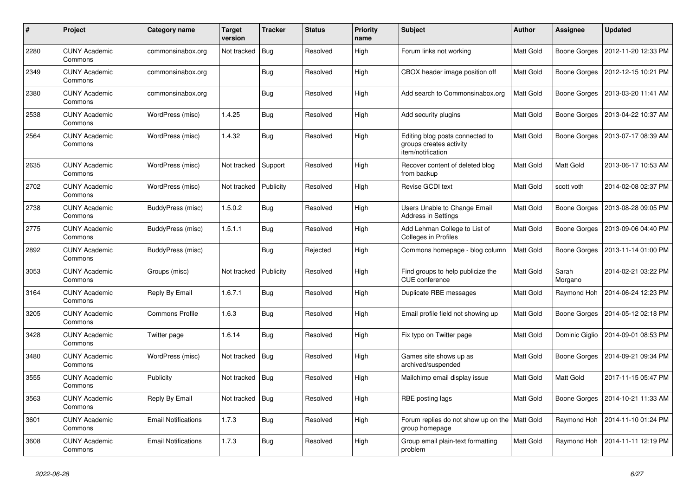| $\pmb{\#}$ | Project                         | Category name              | Target<br>version | <b>Tracker</b> | <b>Status</b> | <b>Priority</b><br>name | <b>Subject</b>                                                                  | <b>Author</b>    | Assignee            | <b>Updated</b>      |
|------------|---------------------------------|----------------------------|-------------------|----------------|---------------|-------------------------|---------------------------------------------------------------------------------|------------------|---------------------|---------------------|
| 2280       | <b>CUNY Academic</b><br>Commons | commonsinabox.org          | Not tracked       | Bug            | Resolved      | High                    | Forum links not working                                                         | <b>Matt Gold</b> | Boone Gorges        | 2012-11-20 12:33 PM |
| 2349       | <b>CUNY Academic</b><br>Commons | commonsinabox.org          |                   | <b>Bug</b>     | Resolved      | High                    | CBOX header image position off                                                  | <b>Matt Gold</b> | Boone Gorges        | 2012-12-15 10:21 PM |
| 2380       | <b>CUNY Academic</b><br>Commons | commonsinabox.org          |                   | Bug            | Resolved      | High                    | Add search to Commonsinabox.org                                                 | Matt Gold        | Boone Gorges        | 2013-03-20 11:41 AM |
| 2538       | <b>CUNY Academic</b><br>Commons | WordPress (misc)           | 1.4.25            | <b>Bug</b>     | Resolved      | High                    | Add security plugins                                                            | <b>Matt Gold</b> | Boone Gorges        | 2013-04-22 10:37 AM |
| 2564       | <b>CUNY Academic</b><br>Commons | WordPress (misc)           | 1.4.32            | Bug            | Resolved      | High                    | Editing blog posts connected to<br>groups creates activity<br>item/notification | Matt Gold        | Boone Gorges        | 2013-07-17 08:39 AM |
| 2635       | <b>CUNY Academic</b><br>Commons | WordPress (misc)           | Not tracked       | Support        | Resolved      | High                    | Recover content of deleted blog<br>from backup                                  | Matt Gold        | Matt Gold           | 2013-06-17 10:53 AM |
| 2702       | <b>CUNY Academic</b><br>Commons | WordPress (misc)           | Not tracked       | Publicity      | Resolved      | High                    | Revise GCDI text                                                                | Matt Gold        | scott voth          | 2014-02-08 02:37 PM |
| 2738       | <b>CUNY Academic</b><br>Commons | BuddyPress (misc)          | 1.5.0.2           | Bug            | Resolved      | High                    | Users Unable to Change Email<br><b>Address in Settings</b>                      | Matt Gold        | Boone Gorges        | 2013-08-28 09:05 PM |
| 2775       | <b>CUNY Academic</b><br>Commons | BuddyPress (misc)          | 1.5.1.1           | <b>Bug</b>     | Resolved      | High                    | Add Lehman College to List of<br>Colleges in Profiles                           | Matt Gold        | Boone Gorges        | 2013-09-06 04:40 PM |
| 2892       | <b>CUNY Academic</b><br>Commons | BuddyPress (misc)          |                   | Bug            | Rejected      | High                    | Commons homepage - blog column                                                  | Matt Gold        | <b>Boone Gorges</b> | 2013-11-14 01:00 PM |
| 3053       | <b>CUNY Academic</b><br>Commons | Groups (misc)              | Not tracked       | Publicity      | Resolved      | High                    | Find groups to help publicize the<br><b>CUE</b> conference                      | Matt Gold        | Sarah<br>Morgano    | 2014-02-21 03:22 PM |
| 3164       | <b>CUNY Academic</b><br>Commons | Reply By Email             | 1.6.7.1           | Bug            | Resolved      | High                    | Duplicate RBE messages                                                          | Matt Gold        | Raymond Hoh         | 2014-06-24 12:23 PM |
| 3205       | <b>CUNY Academic</b><br>Commons | <b>Commons Profile</b>     | 1.6.3             | <b>Bug</b>     | Resolved      | High                    | Email profile field not showing up                                              | Matt Gold        | Boone Gorges        | 2014-05-12 02:18 PM |
| 3428       | <b>CUNY Academic</b><br>Commons | Twitter page               | 1.6.14            | <b>Bug</b>     | Resolved      | High                    | Fix typo on Twitter page                                                        | Matt Gold        | Dominic Giglio      | 2014-09-01 08:53 PM |
| 3480       | <b>CUNY Academic</b><br>Commons | WordPress (misc)           | Not tracked       | Bug            | Resolved      | High                    | Games site shows up as<br>archived/suspended                                    | Matt Gold        | Boone Gorges        | 2014-09-21 09:34 PM |
| 3555       | <b>CUNY Academic</b><br>Commons | Publicity                  | Not tracked       | Bug            | Resolved      | High                    | Mailchimp email display issue                                                   | Matt Gold        | Matt Gold           | 2017-11-15 05:47 PM |
| 3563       | <b>CUNY Academic</b><br>Commons | Reply By Email             | Not tracked       | <b>Bug</b>     | Resolved      | High                    | RBE posting lags                                                                | <b>Matt Gold</b> | Boone Gorges        | 2014-10-21 11:33 AM |
| 3601       | <b>CUNY Academic</b><br>Commons | <b>Email Notifications</b> | 1.7.3             | <b>Bug</b>     | Resolved      | High                    | Forum replies do not show up on the   Matt Gold<br>group homepage               |                  | Raymond Hoh         | 2014-11-10 01:24 PM |
| 3608       | <b>CUNY Academic</b><br>Commons | <b>Email Notifications</b> | 1.7.3             | Bug            | Resolved      | High                    | Group email plain-text formatting<br>problem                                    | Matt Gold        | Raymond Hoh         | 2014-11-11 12:19 PM |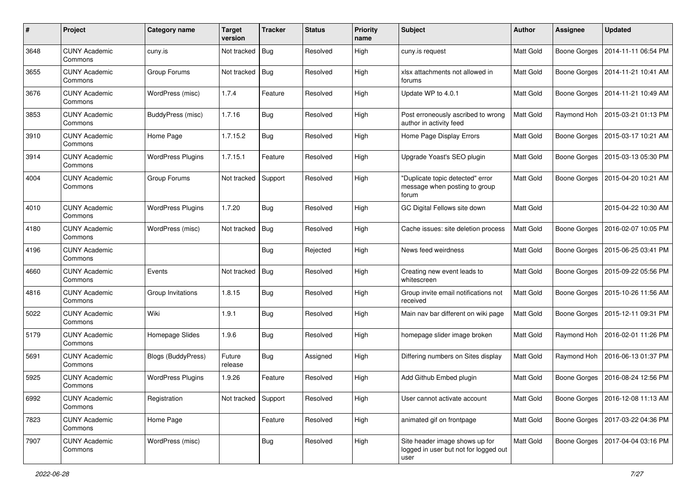| #    | Project                         | Category name            | <b>Target</b><br>version | <b>Tracker</b> | <b>Status</b> | <b>Priority</b><br>name | <b>Subject</b>                                                                  | Author           | Assignee            | <b>Updated</b>                     |
|------|---------------------------------|--------------------------|--------------------------|----------------|---------------|-------------------------|---------------------------------------------------------------------------------|------------------|---------------------|------------------------------------|
| 3648 | <b>CUNY Academic</b><br>Commons | cuny.is                  | Not tracked              | Bug            | Resolved      | High                    | cuny.is request                                                                 | Matt Gold        | <b>Boone Gorges</b> | 2014-11-11 06:54 PM                |
| 3655 | <b>CUNY Academic</b><br>Commons | Group Forums             | Not tracked              | Bug            | Resolved      | High                    | xlsx attachments not allowed in<br>forums                                       | Matt Gold        | <b>Boone Gorges</b> | 2014-11-21 10:41 AM                |
| 3676 | <b>CUNY Academic</b><br>Commons | WordPress (misc)         | 1.7.4                    | Feature        | Resolved      | High                    | Update WP to 4.0.1                                                              | <b>Matt Gold</b> | <b>Boone Gorges</b> | 2014-11-21 10:49 AM                |
| 3853 | <b>CUNY Academic</b><br>Commons | BuddyPress (misc)        | 1.7.16                   | <b>Bug</b>     | Resolved      | High                    | Post erroneously ascribed to wrong<br>author in activity feed                   | <b>Matt Gold</b> | Raymond Hoh         | 2015-03-21 01:13 PM                |
| 3910 | <b>CUNY Academic</b><br>Commons | Home Page                | 1.7.15.2                 | Bug            | Resolved      | High                    | Home Page Display Errors                                                        | Matt Gold        | <b>Boone Gorges</b> | 2015-03-17 10:21 AM                |
| 3914 | <b>CUNY Academic</b><br>Commons | <b>WordPress Plugins</b> | 1.7.15.1                 | Feature        | Resolved      | High                    | Upgrade Yoast's SEO plugin                                                      | Matt Gold        | Boone Gorges        | 2015-03-13 05:30 PM                |
| 4004 | <b>CUNY Academic</b><br>Commons | Group Forums             | Not tracked              | Support        | Resolved      | High                    | "Duplicate topic detected" error<br>message when posting to group<br>forum      | Matt Gold        | <b>Boone Gorges</b> | 2015-04-20 10:21 AM                |
| 4010 | <b>CUNY Academic</b><br>Commons | <b>WordPress Plugins</b> | 1.7.20                   | Bug            | Resolved      | High                    | GC Digital Fellows site down                                                    | <b>Matt Gold</b> |                     | 2015-04-22 10:30 AM                |
| 4180 | <b>CUNY Academic</b><br>Commons | WordPress (misc)         | Not tracked              | <b>Bug</b>     | Resolved      | High                    | Cache issues: site deletion process                                             | Matt Gold        | <b>Boone Gorges</b> | 2016-02-07 10:05 PM                |
| 4196 | <b>CUNY Academic</b><br>Commons |                          |                          | Bug            | Rejected      | High                    | News feed weirdness                                                             | Matt Gold        | <b>Boone Gorges</b> | 2015-06-25 03:41 PM                |
| 4660 | <b>CUNY Academic</b><br>Commons | Events                   | Not tracked              | Bug            | Resolved      | High                    | Creating new event leads to<br>whitescreen                                      | Matt Gold        | Boone Gorges        | 2015-09-22 05:56 PM                |
| 4816 | <b>CUNY Academic</b><br>Commons | Group Invitations        | 1.8.15                   | Bug            | Resolved      | High                    | Group invite email notifications not<br>received                                | Matt Gold        | <b>Boone Gorges</b> | 2015-10-26 11:56 AM                |
| 5022 | <b>CUNY Academic</b><br>Commons | Wiki                     | 1.9.1                    | <b>Bug</b>     | Resolved      | High                    | Main nav bar different on wiki page                                             | <b>Matt Gold</b> | Boone Gorges        | 2015-12-11 09:31 PM                |
| 5179 | <b>CUNY Academic</b><br>Commons | Homepage Slides          | 1.9.6                    | <b>Bug</b>     | Resolved      | High                    | homepage slider image broken                                                    | Matt Gold        | Raymond Hoh         | 2016-02-01 11:26 PM                |
| 5691 | <b>CUNY Academic</b><br>Commons | Blogs (BuddyPress)       | Future<br>release        | <b>Bug</b>     | Assigned      | High                    | Differing numbers on Sites display                                              | Matt Gold        | Raymond Hoh         | 2016-06-13 01:37 PM                |
| 5925 | <b>CUNY Academic</b><br>Commons | <b>WordPress Plugins</b> | 1.9.26                   | Feature        | Resolved      | High                    | Add Github Embed plugin                                                         | <b>Matt Gold</b> | <b>Boone Gorges</b> | 2016-08-24 12:56 PM                |
| 6992 | <b>CUNY Academic</b><br>Commons | Registration             | Not tracked Support      |                | Resolved      | High                    | User cannot activate account                                                    | Matt Gold        |                     | Boone Gorges   2016-12-08 11:13 AM |
| 7823 | <b>CUNY Academic</b><br>Commons | Home Page                |                          | Feature        | Resolved      | High                    | animated gif on frontpage                                                       | Matt Gold        | Boone Gorges        | 2017-03-22 04:36 PM                |
| 7907 | <b>CUNY Academic</b><br>Commons | WordPress (misc)         |                          | <b>Bug</b>     | Resolved      | High                    | Site header image shows up for<br>logged in user but not for logged out<br>user | Matt Gold        | Boone Gorges        | 2017-04-04 03:16 PM                |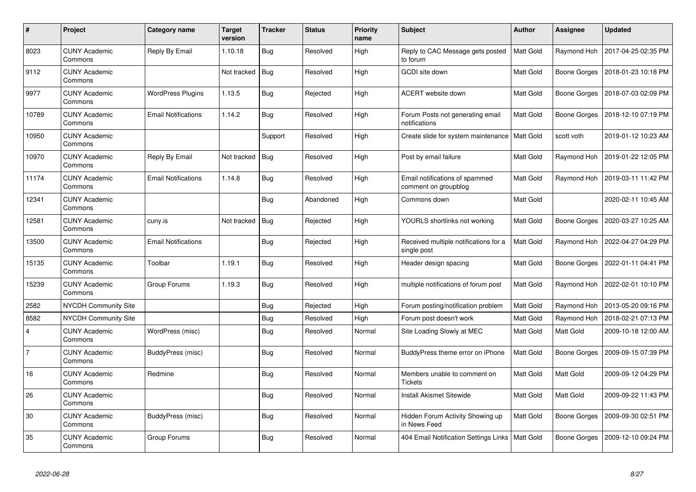| #              | Project                         | Category name              | Target<br>version | <b>Tracker</b> | <b>Status</b> | <b>Priority</b><br>name | <b>Subject</b>                                         | <b>Author</b>    | Assignee            | <b>Updated</b>      |
|----------------|---------------------------------|----------------------------|-------------------|----------------|---------------|-------------------------|--------------------------------------------------------|------------------|---------------------|---------------------|
| 8023           | <b>CUNY Academic</b><br>Commons | Reply By Email             | 1.10.18           | <b>Bug</b>     | Resolved      | High                    | Reply to CAC Message gets posted<br>to forum           | <b>Matt Gold</b> | Raymond Hoh         | 2017-04-25 02:35 PM |
| 9112           | <b>CUNY Academic</b><br>Commons |                            | Not tracked       | Bug            | Resolved      | High                    | GCDI site down                                         | Matt Gold        | Boone Gorges        | 2018-01-23 10:18 PM |
| 9977           | <b>CUNY Academic</b><br>Commons | <b>WordPress Plugins</b>   | 1.13.5            | <b>Bug</b>     | Rejected      | High                    | ACERT website down                                     | Matt Gold        | Boone Gorges        | 2018-07-03 02:09 PM |
| 10789          | <b>CUNY Academic</b><br>Commons | <b>Email Notifications</b> | 1.14.2            | <b>Bug</b>     | Resolved      | High                    | Forum Posts not generating email<br>notifications      | Matt Gold        | Boone Gorges        | 2018-12-10 07:19 PM |
| 10950          | <b>CUNY Academic</b><br>Commons |                            |                   | Support        | Resolved      | High                    | Create slide for system maintenance   Matt Gold        |                  | scott voth          | 2019-01-12 10:23 AM |
| 10970          | <b>CUNY Academic</b><br>Commons | Reply By Email             | Not tracked       | Bug            | Resolved      | High                    | Post by email failure                                  | Matt Gold        | Raymond Hoh         | 2019-01-22 12:05 PM |
| 11174          | <b>CUNY Academic</b><br>Commons | Email Notifications        | 1.14.8            | Bug            | Resolved      | High                    | Email notifications of spammed<br>comment on groupblog | <b>Matt Gold</b> | Raymond Hoh         | 2019-03-11 11:42 PM |
| 12341          | <b>CUNY Academic</b><br>Commons |                            |                   | <b>Bug</b>     | Abandoned     | High                    | Commons down                                           | Matt Gold        |                     | 2020-02-11 10:45 AM |
| 12581          | <b>CUNY Academic</b><br>Commons | cuny.is                    | Not tracked       | Bug            | Rejected      | High                    | YOURLS shortlinks not working                          | Matt Gold        | Boone Gorges        | 2020-03-27 10:25 AM |
| 13500          | <b>CUNY Academic</b><br>Commons | Email Notifications        |                   | <b>Bug</b>     | Rejected      | High                    | Received multiple notifications for a<br>single post   | Matt Gold        | Raymond Hoh         | 2022-04-27 04:29 PM |
| 15135          | <b>CUNY Academic</b><br>Commons | Toolbar                    | 1.19.1            | Bug            | Resolved      | High                    | Header design spacing                                  | Matt Gold        | Boone Gorges        | 2022-01-11 04:41 PM |
| 15239          | <b>CUNY Academic</b><br>Commons | Group Forums               | 1.19.3            | <b>Bug</b>     | Resolved      | High                    | multiple notifications of forum post                   | Matt Gold        | Raymond Hoh         | 2022-02-01 10:10 PM |
| 2582           | <b>NYCDH Community Site</b>     |                            |                   | <b>Bug</b>     | Rejected      | High                    | Forum posting/notification problem                     | Matt Gold        | Raymond Hoh         | 2013-05-20 09:16 PM |
| 8582           | <b>NYCDH Community Site</b>     |                            |                   | <b>Bug</b>     | Resolved      | High                    | Forum post doesn't work                                | Matt Gold        | Raymond Hoh         | 2018-02-21 07:13 PM |
| $\overline{4}$ | <b>CUNY Academic</b><br>Commons | WordPress (misc)           |                   | <b>Bug</b>     | Resolved      | Normal                  | Site Loading Slowly at MEC                             | <b>Matt Gold</b> | Matt Gold           | 2009-10-18 12:00 AM |
| $\overline{7}$ | <b>CUNY Academic</b><br>Commons | BuddyPress (misc)          |                   | Bug            | Resolved      | Normal                  | BuddyPress theme error on iPhone                       | Matt Gold        | <b>Boone Gorges</b> | 2009-09-15 07:39 PM |
| 16             | <b>CUNY Academic</b><br>Commons | Redmine                    |                   | <b>Bug</b>     | Resolved      | Normal                  | Members unable to comment on<br><b>Tickets</b>         | Matt Gold        | Matt Gold           | 2009-09-12 04:29 PM |
| 26             | <b>CUNY Academic</b><br>Commons |                            |                   | Bug            | Resolved      | Normal                  | <b>Install Akismet Sitewide</b>                        | Matt Gold        | Matt Gold           | 2009-09-22 11:43 PM |
| 30             | <b>CUNY Academic</b><br>Commons | BuddyPress (misc)          |                   | Bug            | Resolved      | Normal                  | Hidden Forum Activity Showing up<br>in News Feed       | Matt Gold        | Boone Gorges        | 2009-09-30 02:51 PM |
| 35             | <b>CUNY Academic</b><br>Commons | Group Forums               |                   | <b>Bug</b>     | Resolved      | Normal                  | 404 Email Notification Settings Links                  | <b>Matt Gold</b> | <b>Boone Gorges</b> | 2009-12-10 09:24 PM |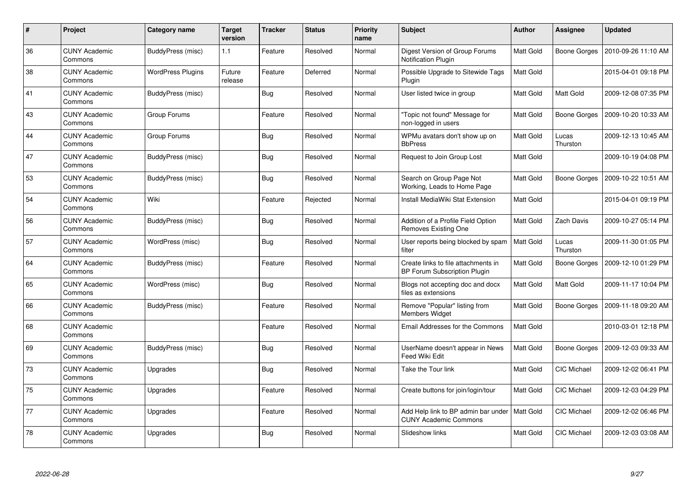| $\#$ | Project                         | Category name            | <b>Target</b><br>version | <b>Tracker</b> | <b>Status</b> | <b>Priority</b><br>name | <b>Subject</b>                                                             | <b>Author</b>    | Assignee           | <b>Updated</b>      |
|------|---------------------------------|--------------------------|--------------------------|----------------|---------------|-------------------------|----------------------------------------------------------------------------|------------------|--------------------|---------------------|
| 36   | <b>CUNY Academic</b><br>Commons | BuddyPress (misc)        | 1.1                      | Feature        | Resolved      | Normal                  | Digest Version of Group Forums<br><b>Notification Plugin</b>               | Matt Gold        | Boone Gorges       | 2010-09-26 11:10 AM |
| 38   | <b>CUNY Academic</b><br>Commons | <b>WordPress Plugins</b> | Future<br>release        | Feature        | Deferred      | Normal                  | Possible Upgrade to Sitewide Tags<br>Plugin                                | Matt Gold        |                    | 2015-04-01 09:18 PM |
| 41   | <b>CUNY Academic</b><br>Commons | BuddyPress (misc)        |                          | <b>Bug</b>     | Resolved      | Normal                  | User listed twice in group                                                 | Matt Gold        | Matt Gold          | 2009-12-08 07:35 PM |
| 43   | <b>CUNY Academic</b><br>Commons | Group Forums             |                          | Feature        | Resolved      | Normal                  | "Topic not found" Message for<br>non-logged in users                       | Matt Gold        | Boone Gorges       | 2009-10-20 10:33 AM |
| 44   | <b>CUNY Academic</b><br>Commons | Group Forums             |                          | Bug            | Resolved      | Normal                  | WPMu avatars don't show up on<br><b>BbPress</b>                            | <b>Matt Gold</b> | Lucas<br>Thurston  | 2009-12-13 10:45 AM |
| 47   | <b>CUNY Academic</b><br>Commons | BuddyPress (misc)        |                          | Bug            | Resolved      | Normal                  | Request to Join Group Lost                                                 | Matt Gold        |                    | 2009-10-19 04:08 PM |
| 53   | <b>CUNY Academic</b><br>Commons | BuddyPress (misc)        |                          | <b>Bug</b>     | Resolved      | Normal                  | Search on Group Page Not<br>Working, Leads to Home Page                    | Matt Gold        | Boone Gorges       | 2009-10-22 10:51 AM |
| 54   | <b>CUNY Academic</b><br>Commons | Wiki                     |                          | Feature        | Rejected      | Normal                  | Install MediaWiki Stat Extension                                           | Matt Gold        |                    | 2015-04-01 09:19 PM |
| 56   | <b>CUNY Academic</b><br>Commons | BuddyPress (misc)        |                          | Bug            | Resolved      | Normal                  | Addition of a Profile Field Option<br><b>Removes Existing One</b>          | Matt Gold        | Zach Davis         | 2009-10-27 05:14 PM |
| 57   | <b>CUNY Academic</b><br>Commons | WordPress (misc)         |                          | <b>Bug</b>     | Resolved      | Normal                  | User reports being blocked by spam<br>filter                               | Matt Gold        | Lucas<br>Thurston  | 2009-11-30 01:05 PM |
| 64   | <b>CUNY Academic</b><br>Commons | BuddyPress (misc)        |                          | Feature        | Resolved      | Normal                  | Create links to file attachments in<br><b>BP Forum Subscription Plugin</b> | Matt Gold        | Boone Gorges       | 2009-12-10 01:29 PM |
| 65   | <b>CUNY Academic</b><br>Commons | WordPress (misc)         |                          | Bug            | Resolved      | Normal                  | Blogs not accepting doc and docx<br>files as extensions                    | Matt Gold        | Matt Gold          | 2009-11-17 10:04 PM |
| 66   | <b>CUNY Academic</b><br>Commons | BuddyPress (misc)        |                          | Feature        | Resolved      | Normal                  | Remove "Popular" listing from<br><b>Members Widget</b>                     | Matt Gold        | Boone Gorges       | 2009-11-18 09:20 AM |
| 68   | <b>CUNY Academic</b><br>Commons |                          |                          | Feature        | Resolved      | Normal                  | Email Addresses for the Commons                                            | Matt Gold        |                    | 2010-03-01 12:18 PM |
| 69   | <b>CUNY Academic</b><br>Commons | BuddyPress (misc)        |                          | Bug            | Resolved      | Normal                  | UserName doesn't appear in News<br><b>Feed Wiki Edit</b>                   | Matt Gold        | Boone Gorges       | 2009-12-03 09:33 AM |
| 73   | <b>CUNY Academic</b><br>Commons | Upgrades                 |                          | Bug            | Resolved      | Normal                  | Take the Tour link                                                         | Matt Gold        | CIC Michael        | 2009-12-02 06:41 PM |
| 75   | <b>CUNY Academic</b><br>Commons | Upgrades                 |                          | Feature        | Resolved      | Normal                  | Create buttons for join/login/tour                                         | Matt Gold        | <b>CIC Michael</b> | 2009-12-03 04:29 PM |
| 77   | <b>CUNY Academic</b><br>Commons | Upgrades                 |                          | Feature        | Resolved      | Normal                  | Add Help link to BP admin bar under<br><b>CUNY Academic Commons</b>        | Matt Gold        | CIC Michael        | 2009-12-02 06:46 PM |
| 78   | <b>CUNY Academic</b><br>Commons | Upgrades                 |                          | <b>Bug</b>     | Resolved      | Normal                  | Slideshow links                                                            | <b>Matt Gold</b> | <b>CIC Michael</b> | 2009-12-03 03:08 AM |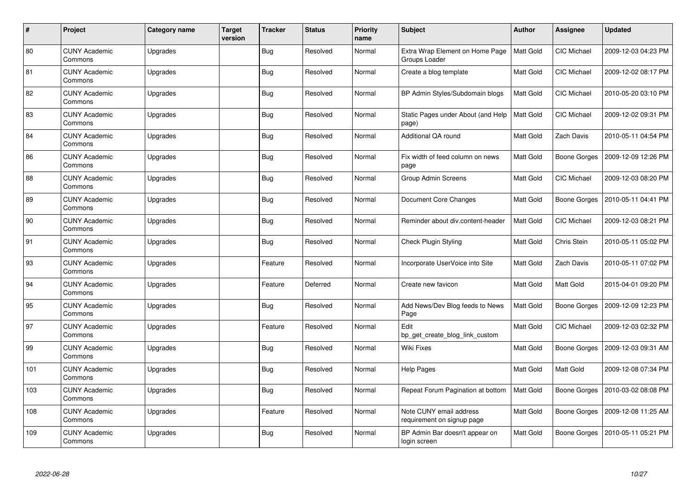| $\pmb{\#}$ | Project                         | Category name | <b>Target</b><br>version | <b>Tracker</b> | <b>Status</b> | <b>Priority</b><br>name | Subject                                               | <b>Author</b>    | Assignee           | <b>Updated</b>      |
|------------|---------------------------------|---------------|--------------------------|----------------|---------------|-------------------------|-------------------------------------------------------|------------------|--------------------|---------------------|
| 80         | <b>CUNY Academic</b><br>Commons | Upgrades      |                          | <b>Bug</b>     | Resolved      | Normal                  | Extra Wrap Element on Home Page<br>Groups Loader      | <b>Matt Gold</b> | CIC Michael        | 2009-12-03 04:23 PM |
| 81         | <b>CUNY Academic</b><br>Commons | Upgrades      |                          | <b>Bug</b>     | Resolved      | Normal                  | Create a blog template                                | <b>Matt Gold</b> | <b>CIC Michael</b> | 2009-12-02 08:17 PM |
| 82         | <b>CUNY Academic</b><br>Commons | Upgrades      |                          | <b>Bug</b>     | Resolved      | Normal                  | BP Admin Styles/Subdomain blogs                       | <b>Matt Gold</b> | CIC Michael        | 2010-05-20 03:10 PM |
| 83         | <b>CUNY Academic</b><br>Commons | Upgrades      |                          | <b>Bug</b>     | Resolved      | Normal                  | Static Pages under About (and Help<br>page)           | <b>Matt Gold</b> | <b>CIC Michael</b> | 2009-12-02 09:31 PM |
| 84         | <b>CUNY Academic</b><br>Commons | Upgrades      |                          | <b>Bug</b>     | Resolved      | Normal                  | Additional QA round                                   | <b>Matt Gold</b> | Zach Davis         | 2010-05-11 04:54 PM |
| 86         | <b>CUNY Academic</b><br>Commons | Upgrades      |                          | <b>Bug</b>     | Resolved      | Normal                  | Fix width of feed column on news<br>page              | Matt Gold        | Boone Gorges       | 2009-12-09 12:26 PM |
| 88         | <b>CUNY Academic</b><br>Commons | Upgrades      |                          | <b>Bug</b>     | Resolved      | Normal                  | <b>Group Admin Screens</b>                            | <b>Matt Gold</b> | <b>CIC Michael</b> | 2009-12-03 08:20 PM |
| 89         | <b>CUNY Academic</b><br>Commons | Upgrades      |                          | Bug            | Resolved      | Normal                  | Document Core Changes                                 | Matt Gold        | Boone Gorges       | 2010-05-11 04:41 PM |
| 90         | <b>CUNY Academic</b><br>Commons | Upgrades      |                          | <b>Bug</b>     | Resolved      | Normal                  | Reminder about div.content-header                     | <b>Matt Gold</b> | CIC Michael        | 2009-12-03 08:21 PM |
| 91         | <b>CUNY Academic</b><br>Commons | Upgrades      |                          | <b>Bug</b>     | Resolved      | Normal                  | <b>Check Plugin Styling</b>                           | <b>Matt Gold</b> | <b>Chris Stein</b> | 2010-05-11 05:02 PM |
| 93         | <b>CUNY Academic</b><br>Commons | Upgrades      |                          | Feature        | Resolved      | Normal                  | Incorporate UserVoice into Site                       | Matt Gold        | Zach Davis         | 2010-05-11 07:02 PM |
| 94         | <b>CUNY Academic</b><br>Commons | Upgrades      |                          | Feature        | Deferred      | Normal                  | Create new favicon                                    | Matt Gold        | Matt Gold          | 2015-04-01 09:20 PM |
| 95         | <b>CUNY Academic</b><br>Commons | Upgrades      |                          | <b>Bug</b>     | Resolved      | Normal                  | Add News/Dev Blog feeds to News<br>Page               | <b>Matt Gold</b> | Boone Gorges       | 2009-12-09 12:23 PM |
| 97         | <b>CUNY Academic</b><br>Commons | Upgrades      |                          | Feature        | Resolved      | Normal                  | Edit<br>bp get create blog link custom                | Matt Gold        | CIC Michael        | 2009-12-03 02:32 PM |
| 99         | <b>CUNY Academic</b><br>Commons | Upgrades      |                          | <b>Bug</b>     | Resolved      | Normal                  | Wiki Fixes                                            | Matt Gold        | Boone Gorges       | 2009-12-03 09:31 AM |
| 101        | <b>CUNY Academic</b><br>Commons | Upgrades      |                          | <b>Bug</b>     | Resolved      | Normal                  | <b>Help Pages</b>                                     | Matt Gold        | Matt Gold          | 2009-12-08 07:34 PM |
| 103        | <b>CUNY Academic</b><br>Commons | Upgrades      |                          | Bug            | Resolved      | Normal                  | Repeat Forum Pagination at bottom                     | <b>Matt Gold</b> | Boone Gorges       | 2010-03-02 08:08 PM |
| 108        | <b>CUNY Academic</b><br>Commons | Upgrades      |                          | Feature        | Resolved      | Normal                  | Note CUNY email address<br>requirement on signup page | Matt Gold        | Boone Gorges       | 2009-12-08 11:25 AM |
| 109        | CUNY Academic<br>Commons        | Upgrades      |                          | <b>Bug</b>     | Resolved      | Normal                  | BP Admin Bar doesn't appear on<br>login screen        | Matt Gold        | Boone Gorges       | 2010-05-11 05:21 PM |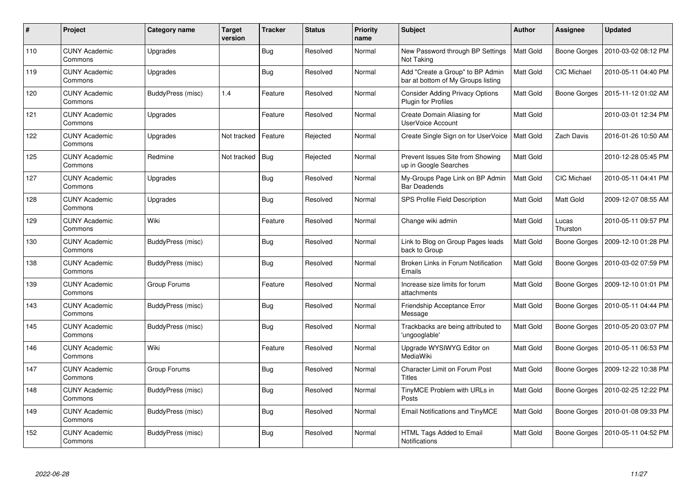| $\#$ | Project                         | Category name            | <b>Target</b><br>version | <b>Tracker</b> | <b>Status</b> | <b>Priority</b><br>name | <b>Subject</b>                                                         | <b>Author</b>    | Assignee            | <b>Updated</b>      |
|------|---------------------------------|--------------------------|--------------------------|----------------|---------------|-------------------------|------------------------------------------------------------------------|------------------|---------------------|---------------------|
| 110  | <b>CUNY Academic</b><br>Commons | Upgrades                 |                          | <b>Bug</b>     | Resolved      | Normal                  | New Password through BP Settings<br>Not Taking                         | Matt Gold        | <b>Boone Gorges</b> | 2010-03-02 08:12 PM |
| 119  | <b>CUNY Academic</b><br>Commons | Upgrades                 |                          | Bug            | Resolved      | Normal                  | Add "Create a Group" to BP Admin<br>bar at bottom of My Groups listing | Matt Gold        | <b>CIC Michael</b>  | 2010-05-11 04:40 PM |
| 120  | <b>CUNY Academic</b><br>Commons | BuddyPress (misc)        | 1.4                      | Feature        | Resolved      | Normal                  | <b>Consider Adding Privacy Options</b><br>Plugin for Profiles          | Matt Gold        | Boone Gorges        | 2015-11-12 01:02 AM |
| 121  | <b>CUNY Academic</b><br>Commons | Upgrades                 |                          | Feature        | Resolved      | Normal                  | Create Domain Aliasing for<br><b>UserVoice Account</b>                 | Matt Gold        |                     | 2010-03-01 12:34 PM |
| 122  | <b>CUNY Academic</b><br>Commons | Upgrades                 | Not tracked              | Feature        | Rejected      | Normal                  | Create Single Sign on for UserVoice                                    | <b>Matt Gold</b> | Zach Davis          | 2016-01-26 10:50 AM |
| 125  | <b>CUNY Academic</b><br>Commons | Redmine                  | Not tracked              | Bug            | Rejected      | Normal                  | Prevent Issues Site from Showing<br>up in Google Searches              | Matt Gold        |                     | 2010-12-28 05:45 PM |
| 127  | <b>CUNY Academic</b><br>Commons | Upgrades                 |                          | <b>Bug</b>     | Resolved      | Normal                  | My-Groups Page Link on BP Admin<br><b>Bar Deadends</b>                 | Matt Gold        | <b>CIC Michael</b>  | 2010-05-11 04:41 PM |
| 128  | <b>CUNY Academic</b><br>Commons | Upgrades                 |                          | <b>Bug</b>     | Resolved      | Normal                  | SPS Profile Field Description                                          | <b>Matt Gold</b> | Matt Gold           | 2009-12-07 08:55 AM |
| 129  | <b>CUNY Academic</b><br>Commons | Wiki                     |                          | Feature        | Resolved      | Normal                  | Change wiki admin                                                      | Matt Gold        | Lucas<br>Thurston   | 2010-05-11 09:57 PM |
| 130  | <b>CUNY Academic</b><br>Commons | BuddyPress (misc)        |                          | <b>Bug</b>     | Resolved      | Normal                  | Link to Blog on Group Pages leads<br>back to Group                     | <b>Matt Gold</b> | Boone Gorges        | 2009-12-10 01:28 PM |
| 138  | <b>CUNY Academic</b><br>Commons | BuddyPress (misc)        |                          | <b>Bug</b>     | Resolved      | Normal                  | Broken Links in Forum Notification<br>Emails                           | Matt Gold        | Boone Gorges        | 2010-03-02 07:59 PM |
| 139  | <b>CUNY Academic</b><br>Commons | Group Forums             |                          | Feature        | Resolved      | Normal                  | Increase size limits for forum<br>attachments                          | Matt Gold        | Boone Gorges        | 2009-12-10 01:01 PM |
| 143  | <b>CUNY Academic</b><br>Commons | BuddyPress (misc)        |                          | Bug            | Resolved      | Normal                  | Friendship Acceptance Error<br>Message                                 | Matt Gold        | Boone Gorges        | 2010-05-11 04:44 PM |
| 145  | <b>CUNY Academic</b><br>Commons | BuddyPress (misc)        |                          | <b>Bug</b>     | Resolved      | Normal                  | Trackbacks are being attributed to<br>'ungooglable'                    | Matt Gold        | Boone Gorges        | 2010-05-20 03:07 PM |
| 146  | <b>CUNY Academic</b><br>Commons | Wiki                     |                          | Feature        | Resolved      | Normal                  | Upgrade WYSIWYG Editor on<br>MediaWiki                                 | Matt Gold        | Boone Gorges        | 2010-05-11 06:53 PM |
| 147  | <b>CUNY Academic</b><br>Commons | Group Forums             |                          | Bug            | Resolved      | Normal                  | <b>Character Limit on Forum Post</b><br><b>Titles</b>                  | Matt Gold        | <b>Boone Gorges</b> | 2009-12-22 10:38 PM |
| 148  | <b>CUNY Academic</b><br>Commons | BuddyPress (misc)        |                          | Bug            | Resolved      | Normal                  | TinyMCE Problem with URLs in<br>Posts                                  | Matt Gold        | Boone Gorges        | 2010-02-25 12:22 PM |
| 149  | <b>CUNY Academic</b><br>Commons | <b>BuddyPress (misc)</b> |                          | <b>Bug</b>     | Resolved      | Normal                  | Email Notifications and TinyMCE                                        | Matt Gold        | Boone Gorges        | 2010-01-08 09:33 PM |
| 152  | <b>CUNY Academic</b><br>Commons | BuddyPress (misc)        |                          | <b>Bug</b>     | Resolved      | Normal                  | HTML Tags Added to Email<br>Notifications                              | Matt Gold        | <b>Boone Gorges</b> | 2010-05-11 04:52 PM |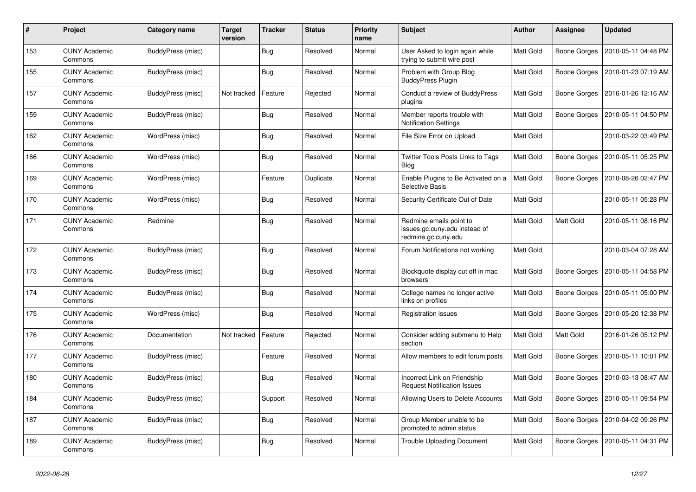| $\#$ | Project                         | Category name            | <b>Target</b><br>version | <b>Tracker</b> | <b>Status</b> | Priority<br>name | <b>Subject</b>                                                                  | <b>Author</b>    | Assignee     | <b>Updated</b>      |
|------|---------------------------------|--------------------------|--------------------------|----------------|---------------|------------------|---------------------------------------------------------------------------------|------------------|--------------|---------------------|
| 153  | <b>CUNY Academic</b><br>Commons | <b>BuddyPress (misc)</b> |                          | <b>Bug</b>     | Resolved      | Normal           | User Asked to login again while<br>trying to submit wire post                   | <b>Matt Gold</b> | Boone Gorges | 2010-05-11 04:48 PM |
| 155  | <b>CUNY Academic</b><br>Commons | <b>BuddyPress (misc)</b> |                          | <b>Bug</b>     | Resolved      | Normal           | Problem with Group Blog<br><b>BuddyPress Plugin</b>                             | Matt Gold        | Boone Gorges | 2010-01-23 07:19 AM |
| 157  | <b>CUNY Academic</b><br>Commons | BuddyPress (misc)        | Not tracked              | Feature        | Rejected      | Normal           | Conduct a review of BuddyPress<br>plugins                                       | Matt Gold        | Boone Gorges | 2016-01-26 12:16 AM |
| 159  | <b>CUNY Academic</b><br>Commons | BuddyPress (misc)        |                          | <b>Bug</b>     | Resolved      | Normal           | Member reports trouble with<br><b>Notification Settings</b>                     | Matt Gold        | Boone Gorges | 2010-05-11 04:50 PM |
| 162  | <b>CUNY Academic</b><br>Commons | WordPress (misc)         |                          | Bug            | Resolved      | Normal           | File Size Error on Upload                                                       | Matt Gold        |              | 2010-03-22 03:49 PM |
| 166  | <b>CUNY Academic</b><br>Commons | WordPress (misc)         |                          | <b>Bug</b>     | Resolved      | Normal           | <b>Twitter Tools Posts Links to Tags</b><br>Blog                                | Matt Gold        | Boone Gorges | 2010-05-11 05:25 PM |
| 169  | <b>CUNY Academic</b><br>Commons | WordPress (misc)         |                          | Feature        | Duplicate     | Normal           | Enable Plugins to Be Activated on a<br><b>Selective Basis</b>                   | Matt Gold        | Boone Gorges | 2010-08-26 02:47 PM |
| 170  | <b>CUNY Academic</b><br>Commons | WordPress (misc)         |                          | <b>Bug</b>     | Resolved      | Normal           | Security Certificate Out of Date                                                | Matt Gold        |              | 2010-05-11 05:28 PM |
| 171  | <b>CUNY Academic</b><br>Commons | Redmine                  |                          | Bug            | Resolved      | Normal           | Redmine emails point to<br>issues.gc.cuny.edu instead of<br>redmine.gc.cuny.edu | Matt Gold        | Matt Gold    | 2010-05-11 08:16 PM |
| 172  | <b>CUNY Academic</b><br>Commons | BuddyPress (misc)        |                          | <b>Bug</b>     | Resolved      | Normal           | Forum Notifications not working                                                 | Matt Gold        |              | 2010-03-04 07:28 AM |
| 173  | <b>CUNY Academic</b><br>Commons | BuddyPress (misc)        |                          | <b>Bug</b>     | Resolved      | Normal           | Blockquote display cut off in mac<br>browsers                                   | Matt Gold        | Boone Gorges | 2010-05-11 04:58 PM |
| 174  | <b>CUNY Academic</b><br>Commons | <b>BuddyPress (misc)</b> |                          | <b>Bug</b>     | Resolved      | Normal           | College names no longer active<br>links on profiles                             | Matt Gold        | Boone Gorges | 2010-05-11 05:00 PM |
| 175  | <b>CUNY Academic</b><br>Commons | WordPress (misc)         |                          | <b>Bug</b>     | Resolved      | Normal           | Registration issues                                                             | Matt Gold        | Boone Gorges | 2010-05-20 12:38 PM |
| 176  | <b>CUNY Academic</b><br>Commons | Documentation            | Not tracked              | Feature        | Rejected      | Normal           | Consider adding submenu to Help<br>section                                      | Matt Gold        | Matt Gold    | 2016-01-26 05:12 PM |
| 177  | <b>CUNY Academic</b><br>Commons | <b>BuddyPress (misc)</b> |                          | Feature        | Resolved      | Normal           | Allow members to edit forum posts                                               | Matt Gold        | Boone Gorges | 2010-05-11 10:01 PM |
| 180  | <b>CUNY Academic</b><br>Commons | BuddyPress (misc)        |                          | <b>Bug</b>     | Resolved      | Normal           | Incorrect Link on Friendship<br><b>Request Notification Issues</b>              | Matt Gold        | Boone Gorges | 2010-03-13 08:47 AM |
| 184  | <b>CUNY Academic</b><br>Commons | BuddyPress (misc)        |                          | Support        | Resolved      | Normal           | Allowing Users to Delete Accounts                                               | <b>Matt Gold</b> | Boone Gorges | 2010-05-11 09:54 PM |
| 187  | <b>CUNY Academic</b><br>Commons | <b>BuddyPress (misc)</b> |                          | <b>Bug</b>     | Resolved      | Normal           | Group Member unable to be<br>promoted to admin status                           | Matt Gold        | Boone Gorges | 2010-04-02 09:26 PM |
| 189  | <b>CUNY Academic</b><br>Commons | BuddyPress (misc)        |                          | <b>Bug</b>     | Resolved      | Normal           | <b>Trouble Uploading Document</b>                                               | Matt Gold        | Boone Gorges | 2010-05-11 04:31 PM |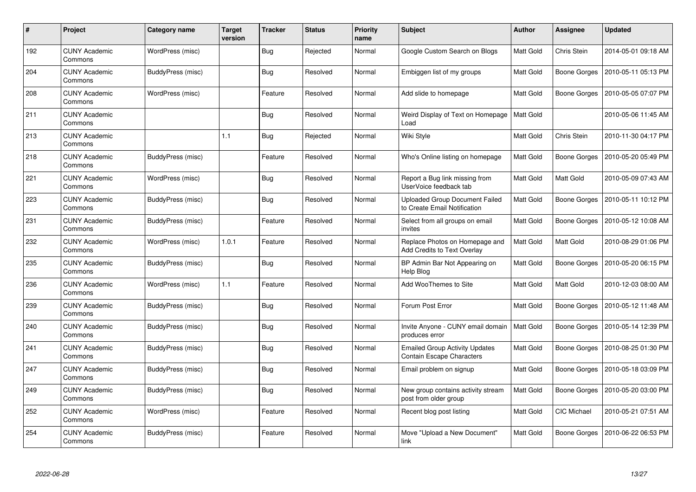| #   | Project                         | Category name     | <b>Target</b><br>version | <b>Tracker</b> | <b>Status</b> | <b>Priority</b><br>name | <b>Subject</b>                                                        | <b>Author</b> | Assignee            | <b>Updated</b>      |
|-----|---------------------------------|-------------------|--------------------------|----------------|---------------|-------------------------|-----------------------------------------------------------------------|---------------|---------------------|---------------------|
| 192 | <b>CUNY Academic</b><br>Commons | WordPress (misc)  |                          | Bug            | Rejected      | Normal                  | Google Custom Search on Blogs                                         | Matt Gold     | Chris Stein         | 2014-05-01 09:18 AM |
| 204 | <b>CUNY Academic</b><br>Commons | BuddyPress (misc) |                          | <b>Bug</b>     | Resolved      | Normal                  | Embiggen list of my groups                                            | Matt Gold     | Boone Gorges        | 2010-05-11 05:13 PM |
| 208 | <b>CUNY Academic</b><br>Commons | WordPress (misc)  |                          | Feature        | Resolved      | Normal                  | Add slide to homepage                                                 | Matt Gold     | Boone Gorges        | 2010-05-05 07:07 PM |
| 211 | <b>CUNY Academic</b><br>Commons |                   |                          | Bug            | Resolved      | Normal                  | Weird Display of Text on Homepage<br>Load                             | Matt Gold     |                     | 2010-05-06 11:45 AM |
| 213 | <b>CUNY Academic</b><br>Commons |                   | 1.1                      | <b>Bug</b>     | Rejected      | Normal                  | Wiki Style                                                            | Matt Gold     | Chris Stein         | 2010-11-30 04:17 PM |
| 218 | <b>CUNY Academic</b><br>Commons | BuddyPress (misc) |                          | Feature        | Resolved      | Normal                  | Who's Online listing on homepage                                      | Matt Gold     | <b>Boone Gorges</b> | 2010-05-20 05:49 PM |
| 221 | <b>CUNY Academic</b><br>Commons | WordPress (misc)  |                          | <b>Bug</b>     | Resolved      | Normal                  | Report a Bug link missing from<br>UserVoice feedback tab              | Matt Gold     | Matt Gold           | 2010-05-09 07:43 AM |
| 223 | <b>CUNY Academic</b><br>Commons | BuddyPress (misc) |                          | <b>Bug</b>     | Resolved      | Normal                  | <b>Uploaded Group Document Failed</b><br>to Create Email Notification | Matt Gold     | Boone Gorges        | 2010-05-11 10:12 PM |
| 231 | CUNY Academic<br>Commons        | BuddyPress (misc) |                          | Feature        | Resolved      | Normal                  | Select from all groups on email<br>invites                            | Matt Gold     | Boone Gorges        | 2010-05-12 10:08 AM |
| 232 | <b>CUNY Academic</b><br>Commons | WordPress (misc)  | 1.0.1                    | Feature        | Resolved      | Normal                  | Replace Photos on Homepage and<br><b>Add Credits to Text Overlay</b>  | Matt Gold     | Matt Gold           | 2010-08-29 01:06 PM |
| 235 | <b>CUNY Academic</b><br>Commons | BuddyPress (misc) |                          | Bug            | Resolved      | Normal                  | BP Admin Bar Not Appearing on<br>Help Blog                            | Matt Gold     | <b>Boone Gorges</b> | 2010-05-20 06:15 PM |
| 236 | <b>CUNY Academic</b><br>Commons | WordPress (misc)  | 1.1                      | Feature        | Resolved      | Normal                  | Add WooThemes to Site                                                 | Matt Gold     | Matt Gold           | 2010-12-03 08:00 AM |
| 239 | <b>CUNY Academic</b><br>Commons | BuddyPress (misc) |                          | <b>Bug</b>     | Resolved      | Normal                  | Forum Post Error                                                      | Matt Gold     | Boone Gorges        | 2010-05-12 11:48 AM |
| 240 | <b>CUNY Academic</b><br>Commons | BuddyPress (misc) |                          | <b>Bug</b>     | Resolved      | Normal                  | Invite Anyone - CUNY email domain<br>produces error                   | Matt Gold     | <b>Boone Gorges</b> | 2010-05-14 12:39 PM |
| 241 | <b>CUNY Academic</b><br>Commons | BuddyPress (misc) |                          | <b>Bug</b>     | Resolved      | Normal                  | <b>Emailed Group Activity Updates</b><br>Contain Escape Characters    | Matt Gold     | <b>Boone Gorges</b> | 2010-08-25 01:30 PM |
| 247 | <b>CUNY Academic</b><br>Commons | BuddyPress (misc) |                          | <b>Bug</b>     | Resolved      | Normal                  | Email problem on signup                                               | Matt Gold     | Boone Gorges        | 2010-05-18 03:09 PM |
| 249 | <b>CUNY Academic</b><br>Commons | BuddyPress (misc) |                          | <b>Bug</b>     | Resolved      | Normal                  | New group contains activity stream<br>post from older group           | Matt Gold     | Boone Gorges        | 2010-05-20 03:00 PM |
| 252 | <b>CUNY Academic</b><br>Commons | WordPress (misc)  |                          | Feature        | Resolved      | Normal                  | Recent blog post listing                                              | Matt Gold     | <b>CIC Michael</b>  | 2010-05-21 07:51 AM |
| 254 | <b>CUNY Academic</b><br>Commons | BuddyPress (misc) |                          | Feature        | Resolved      | Normal                  | Move "Upload a New Document"<br>link                                  | Matt Gold     | <b>Boone Gorges</b> | 2010-06-22 06:53 PM |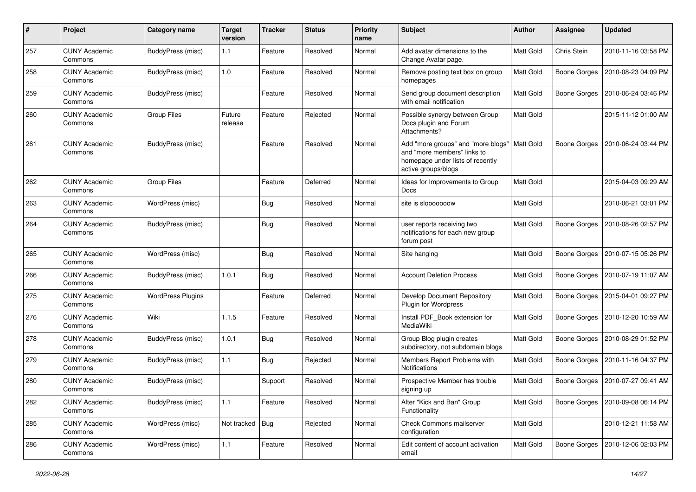| $\#$ | Project                         | Category name            | <b>Target</b><br>version | <b>Tracker</b> | <b>Status</b> | <b>Priority</b><br>name | <b>Subject</b>                                                                                                               | Author           | <b>Assignee</b>     | <b>Updated</b>      |
|------|---------------------------------|--------------------------|--------------------------|----------------|---------------|-------------------------|------------------------------------------------------------------------------------------------------------------------------|------------------|---------------------|---------------------|
| 257  | <b>CUNY Academic</b><br>Commons | <b>BuddyPress (misc)</b> | 1.1                      | Feature        | Resolved      | Normal                  | Add avatar dimensions to the<br>Change Avatar page.                                                                          | Matt Gold        | Chris Stein         | 2010-11-16 03:58 PM |
| 258  | <b>CUNY Academic</b><br>Commons | <b>BuddyPress (misc)</b> | 1.0                      | Feature        | Resolved      | Normal                  | Remove posting text box on group<br>homepages                                                                                | Matt Gold        | <b>Boone Gorges</b> | 2010-08-23 04:09 PM |
| 259  | <b>CUNY Academic</b><br>Commons | <b>BuddyPress (misc)</b> |                          | Feature        | Resolved      | Normal                  | Send group document description<br>with email notification                                                                   | Matt Gold        | <b>Boone Gorges</b> | 2010-06-24 03:46 PM |
| 260  | <b>CUNY Academic</b><br>Commons | <b>Group Files</b>       | Future<br>release        | Feature        | Rejected      | Normal                  | Possible synergy between Group<br>Docs plugin and Forum<br>Attachments?                                                      | Matt Gold        |                     | 2015-11-12 01:00 AM |
| 261  | <b>CUNY Academic</b><br>Commons | BuddyPress (misc)        |                          | Feature        | Resolved      | Normal                  | Add "more groups" and "more blogs"<br>and "more members" links to<br>homepage under lists of recently<br>active groups/blogs | <b>Matt Gold</b> | <b>Boone Gorges</b> | 2010-06-24 03:44 PM |
| 262  | <b>CUNY Academic</b><br>Commons | Group Files              |                          | Feature        | Deferred      | Normal                  | Ideas for Improvements to Group<br>Docs                                                                                      | <b>Matt Gold</b> |                     | 2015-04-03 09:29 AM |
| 263  | <b>CUNY Academic</b><br>Commons | WordPress (misc)         |                          | Bug            | Resolved      | Normal                  | site is slooooooow                                                                                                           | Matt Gold        |                     | 2010-06-21 03:01 PM |
| 264  | <b>CUNY Academic</b><br>Commons | <b>BuddyPress (misc)</b> |                          | <b>Bug</b>     | Resolved      | Normal                  | user reports receiving two<br>notifications for each new group<br>forum post                                                 | Matt Gold        | <b>Boone Gorges</b> | 2010-08-26 02:57 PM |
| 265  | <b>CUNY Academic</b><br>Commons | WordPress (misc)         |                          | Bug            | Resolved      | Normal                  | Site hanging                                                                                                                 | Matt Gold        | <b>Boone Gorges</b> | 2010-07-15 05:26 PM |
| 266  | <b>CUNY Academic</b><br>Commons | BuddyPress (misc)        | 1.0.1                    | Bug            | Resolved      | Normal                  | <b>Account Deletion Process</b>                                                                                              | <b>Matt Gold</b> | <b>Boone Gorges</b> | 2010-07-19 11:07 AM |
| 275  | <b>CUNY Academic</b><br>Commons | <b>WordPress Plugins</b> |                          | Feature        | Deferred      | Normal                  | Develop Document Repository<br><b>Plugin for Wordpress</b>                                                                   | Matt Gold        | <b>Boone Gorges</b> | 2015-04-01 09:27 PM |
| 276  | <b>CUNY Academic</b><br>Commons | Wiki                     | 1.1.5                    | Feature        | Resolved      | Normal                  | Install PDF_Book extension for<br>MediaWiki                                                                                  | Matt Gold        | <b>Boone Gorges</b> | 2010-12-20 10:59 AM |
| 278  | <b>CUNY Academic</b><br>Commons | BuddyPress (misc)        | 1.0.1                    | <b>Bug</b>     | Resolved      | Normal                  | Group Blog plugin creates<br>subdirectory, not subdomain blogs                                                               | Matt Gold        | <b>Boone Gorges</b> | 2010-08-29 01:52 PM |
| 279  | <b>CUNY Academic</b><br>Commons | <b>BuddyPress (misc)</b> | 1.1                      | Bug            | Rejected      | Normal                  | Members Report Problems with<br>Notifications                                                                                | Matt Gold        | <b>Boone Gorges</b> | 2010-11-16 04:37 PM |
| 280  | CUNY Academic<br>Commons        | BuddyPress (misc)        |                          | Support        | Resolved      | Normal                  | Prospective Member has trouble<br>signing up                                                                                 | Matt Gold        | Boone Gorges        | 2010-07-27 09:41 AM |
| 282  | <b>CUNY Academic</b><br>Commons | <b>BuddyPress (misc)</b> | 1.1                      | Feature        | Resolved      | Normal                  | Alter "Kick and Ban" Group<br>Functionality                                                                                  | Matt Gold        | Boone Gorges        | 2010-09-08 06:14 PM |
| 285  | <b>CUNY Academic</b><br>Commons | WordPress (misc)         | Not tracked              | <b>Bug</b>     | Rejected      | Normal                  | Check Commons mailserver<br>configuration                                                                                    | Matt Gold        |                     | 2010-12-21 11:58 AM |
| 286  | <b>CUNY Academic</b><br>Commons | <b>WordPress (misc)</b>  | $1.1$                    | Feature        | Resolved      | Normal                  | Edit content of account activation<br>email                                                                                  | Matt Gold        | <b>Boone Gorges</b> | 2010-12-06 02:03 PM |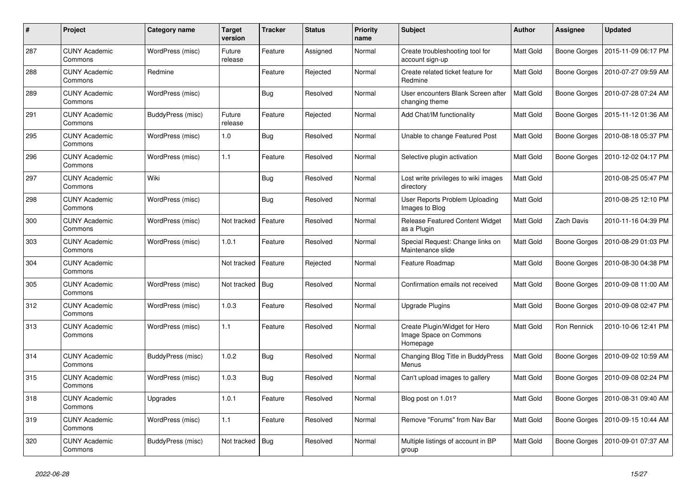| #   | Project                         | Category name     | <b>Target</b><br>version | <b>Tracker</b> | <b>Status</b> | <b>Priority</b><br>name | <b>Subject</b>                                                      | <b>Author</b>    | Assignee            | <b>Updated</b>      |
|-----|---------------------------------|-------------------|--------------------------|----------------|---------------|-------------------------|---------------------------------------------------------------------|------------------|---------------------|---------------------|
| 287 | <b>CUNY Academic</b><br>Commons | WordPress (misc)  | Future<br>release        | Feature        | Assigned      | Normal                  | Create troubleshooting tool for<br>account sign-up                  | Matt Gold        | Boone Gorges        | 2015-11-09 06:17 PM |
| 288 | <b>CUNY Academic</b><br>Commons | Redmine           |                          | Feature        | Rejected      | Normal                  | Create related ticket feature for<br>Redmine                        | Matt Gold        | <b>Boone Gorges</b> | 2010-07-27 09:59 AM |
| 289 | <b>CUNY Academic</b><br>Commons | WordPress (misc)  |                          | Bug            | Resolved      | Normal                  | User encounters Blank Screen after<br>changing theme                | Matt Gold        | Boone Gorges        | 2010-07-28 07:24 AM |
| 291 | <b>CUNY Academic</b><br>Commons | BuddyPress (misc) | Future<br>release        | Feature        | Rejected      | Normal                  | Add Chat/IM functionality                                           | Matt Gold        | <b>Boone Gorges</b> | 2015-11-12 01:36 AM |
| 295 | <b>CUNY Academic</b><br>Commons | WordPress (misc)  | 1.0                      | <b>Bug</b>     | Resolved      | Normal                  | Unable to change Featured Post                                      | Matt Gold        | <b>Boone Gorges</b> | 2010-08-18 05:37 PM |
| 296 | <b>CUNY Academic</b><br>Commons | WordPress (misc)  | 1.1                      | Feature        | Resolved      | Normal                  | Selective plugin activation                                         | Matt Gold        | <b>Boone Gorges</b> | 2010-12-02 04:17 PM |
| 297 | <b>CUNY Academic</b><br>Commons | Wiki              |                          | <b>Bug</b>     | Resolved      | Normal                  | Lost write privileges to wiki images<br>directory                   | Matt Gold        |                     | 2010-08-25 05:47 PM |
| 298 | <b>CUNY Academic</b><br>Commons | WordPress (misc)  |                          | Bug            | Resolved      | Normal                  | User Reports Problem Uploading<br>Images to Blog                    | Matt Gold        |                     | 2010-08-25 12:10 PM |
| 300 | <b>CUNY Academic</b><br>Commons | WordPress (misc)  | Not tracked              | Feature        | Resolved      | Normal                  | <b>Release Featured Content Widget</b><br>as a Plugin               | Matt Gold        | <b>Zach Davis</b>   | 2010-11-16 04:39 PM |
| 303 | <b>CUNY Academic</b><br>Commons | WordPress (misc)  | 1.0.1                    | Feature        | Resolved      | Normal                  | Special Request: Change links on<br>Maintenance slide               | Matt Gold        | Boone Gorges        | 2010-08-29 01:03 PM |
| 304 | <b>CUNY Academic</b><br>Commons |                   | Not tracked              | Feature        | Rejected      | Normal                  | Feature Roadmap                                                     | Matt Gold        | Boone Gorges        | 2010-08-30 04:38 PM |
| 305 | <b>CUNY Academic</b><br>Commons | WordPress (misc)  | Not tracked              | <b>Bug</b>     | Resolved      | Normal                  | Confirmation emails not received                                    | Matt Gold        | <b>Boone Gorges</b> | 2010-09-08 11:00 AM |
| 312 | <b>CUNY Academic</b><br>Commons | WordPress (misc)  | 1.0.3                    | Feature        | Resolved      | Normal                  | Upgrade Plugins                                                     | <b>Matt Gold</b> | Boone Gorges        | 2010-09-08 02:47 PM |
| 313 | CUNY Academic<br>Commons        | WordPress (misc)  | 1.1                      | Feature        | Resolved      | Normal                  | Create Plugin/Widget for Hero<br>Image Space on Commons<br>Homepage | Matt Gold        | Ron Rennick         | 2010-10-06 12:41 PM |
| 314 | <b>CUNY Academic</b><br>Commons | BuddyPress (misc) | 1.0.2                    | Bug            | Resolved      | Normal                  | Changing Blog Title in BuddyPress<br>Menus                          | Matt Gold        | Boone Gorges        | 2010-09-02 10:59 AM |
| 315 | <b>CUNY Academic</b><br>Commons | WordPress (misc)  | 1.0.3                    | <b>Bug</b>     | Resolved      | Normal                  | Can't upload images to gallery                                      | Matt Gold        | <b>Boone Gorges</b> | 2010-09-08 02:24 PM |
| 318 | <b>CUNY Academic</b><br>Commons | Upgrades          | 1.0.1                    | Feature        | Resolved      | Normal                  | Blog post on 1.01?                                                  | Matt Gold        | Boone Gorges        | 2010-08-31 09:40 AM |
| 319 | <b>CUNY Academic</b><br>Commons | WordPress (misc)  | 1.1                      | Feature        | Resolved      | Normal                  | Remove "Forums" from Nav Bar                                        | Matt Gold        | Boone Gorges        | 2010-09-15 10:44 AM |
| 320 | <b>CUNY Academic</b><br>Commons | BuddyPress (misc) | Not tracked              | Bug            | Resolved      | Normal                  | Multiple listings of account in BP<br>group                         | <b>Matt Gold</b> | Boone Gorges        | 2010-09-01 07:37 AM |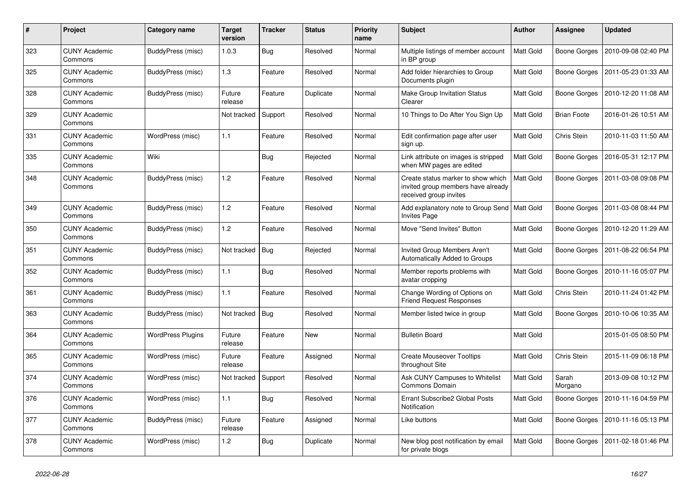| #   | Project                         | Category name            | <b>Target</b><br>version | <b>Tracker</b> | <b>Status</b> | <b>Priority</b><br>name | <b>Subject</b>                                                                                     | <b>Author</b>    | <b>Assignee</b>     | <b>Updated</b>      |
|-----|---------------------------------|--------------------------|--------------------------|----------------|---------------|-------------------------|----------------------------------------------------------------------------------------------------|------------------|---------------------|---------------------|
| 323 | <b>CUNY Academic</b><br>Commons | BuddyPress (misc)        | 1.0.3                    | <b>Bug</b>     | Resolved      | Normal                  | Multiple listings of member account<br>in BP group                                                 | <b>Matt Gold</b> | Boone Gorges        | 2010-09-08 02:40 PM |
| 325 | <b>CUNY Academic</b><br>Commons | BuddyPress (misc)        | 1.3                      | Feature        | Resolved      | Normal                  | Add folder hierarchies to Group<br>Documents plugin                                                | Matt Gold        | <b>Boone Gorges</b> | 2011-05-23 01:33 AM |
| 328 | <b>CUNY Academic</b><br>Commons | BuddyPress (misc)        | Future<br>release        | Feature        | Duplicate     | Normal                  | Make Group Invitation Status<br>Clearer                                                            | Matt Gold        | Boone Gorges        | 2010-12-20 11:08 AM |
| 329 | <b>CUNY Academic</b><br>Commons |                          | Not tracked              | Support        | Resolved      | Normal                  | 10 Things to Do After You Sign Up                                                                  | Matt Gold        | <b>Brian Foote</b>  | 2016-01-26 10:51 AM |
| 331 | <b>CUNY Academic</b><br>Commons | WordPress (misc)         | 1.1                      | Feature        | Resolved      | Normal                  | Edit confirmation page after user<br>sign up.                                                      | Matt Gold        | Chris Stein         | 2010-11-03 11:50 AM |
| 335 | <b>CUNY Academic</b><br>Commons | Wiki                     |                          | <b>Bug</b>     | Rejected      | Normal                  | Link attribute on images is stripped<br>when MW pages are edited                                   | Matt Gold        | <b>Boone Gorges</b> | 2016-05-31 12:17 PM |
| 348 | <b>CUNY Academic</b><br>Commons | BuddyPress (misc)        | 1.2                      | Feature        | Resolved      | Normal                  | Create status marker to show which<br>invited group members have already<br>received group invites | Matt Gold        | Boone Gorges        | 2011-03-08 09:08 PM |
| 349 | <b>CUNY Academic</b><br>Commons | BuddyPress (misc)        | 1.2                      | Feature        | Resolved      | Normal                  | Add explanatory note to Group Send<br><b>Invites Page</b>                                          | <b>Matt Gold</b> | <b>Boone Gorges</b> | 2011-03-08 08:44 PM |
| 350 | <b>CUNY Academic</b><br>Commons | BuddyPress (misc)        | 1.2                      | Feature        | Resolved      | Normal                  | Move "Send Invites" Button                                                                         | Matt Gold        | Boone Gorges        | 2010-12-20 11:29 AM |
| 351 | <b>CUNY Academic</b><br>Commons | BuddyPress (misc)        | Not tracked              | Bug            | Rejected      | Normal                  | Invited Group Members Aren't<br>Automatically Added to Groups                                      | Matt Gold        | <b>Boone Gorges</b> | 2011-08-22 06:54 PM |
| 352 | <b>CUNY Academic</b><br>Commons | BuddyPress (misc)        | 1.1                      | Bug            | Resolved      | Normal                  | Member reports problems with<br>avatar cropping                                                    | Matt Gold        | Boone Gorges        | 2010-11-16 05:07 PM |
| 361 | <b>CUNY Academic</b><br>Commons | BuddyPress (misc)        | 1.1                      | Feature        | Resolved      | Normal                  | Change Wording of Options on<br><b>Friend Request Responses</b>                                    | Matt Gold        | Chris Stein         | 2010-11-24 01:42 PM |
| 363 | <b>CUNY Academic</b><br>Commons | BuddyPress (misc)        | Not tracked              | Bug            | Resolved      | Normal                  | Member listed twice in group                                                                       | Matt Gold        | Boone Gorges        | 2010-10-06 10:35 AM |
| 364 | <b>CUNY Academic</b><br>Commons | <b>WordPress Plugins</b> | Future<br>release        | Feature        | <b>New</b>    | Normal                  | <b>Bulletin Board</b>                                                                              | Matt Gold        |                     | 2015-01-05 08:50 PM |
| 365 | <b>CUNY Academic</b><br>Commons | WordPress (misc)         | Future<br>release        | Feature        | Assigned      | Normal                  | <b>Create Mouseover Tooltips</b><br>throughout Site                                                | Matt Gold        | Chris Stein         | 2015-11-09 06:18 PM |
| 374 | <b>CUNY Academic</b><br>Commons | WordPress (misc)         | Not tracked              | Support        | Resolved      | Normal                  | Ask CUNY Campuses to Whitelist<br>Commons Domain                                                   | Matt Gold        | Sarah<br>Morgano    | 2013-09-08 10:12 PM |
| 376 | <b>CUNY Academic</b><br>Commons | WordPress (misc)         | 1.1                      | <b>Bug</b>     | Resolved      | Normal                  | Errant Subscribe2 Global Posts<br>Notification                                                     | Matt Gold        | <b>Boone Gorges</b> | 2010-11-16 04:59 PM |
| 377 | <b>CUNY Academic</b><br>Commons | BuddyPress (misc)        | Future<br>release        | Feature        | Assigned      | Normal                  | Like buttons                                                                                       | Matt Gold        | Boone Gorges        | 2010-11-16 05:13 PM |
| 378 | <b>CUNY Academic</b><br>Commons | WordPress (misc)         | 1.2                      | Bug            | Duplicate     | Normal                  | New blog post notification by email<br>for private blogs                                           | Matt Gold        | Boone Gorges        | 2011-02-18 01:46 PM |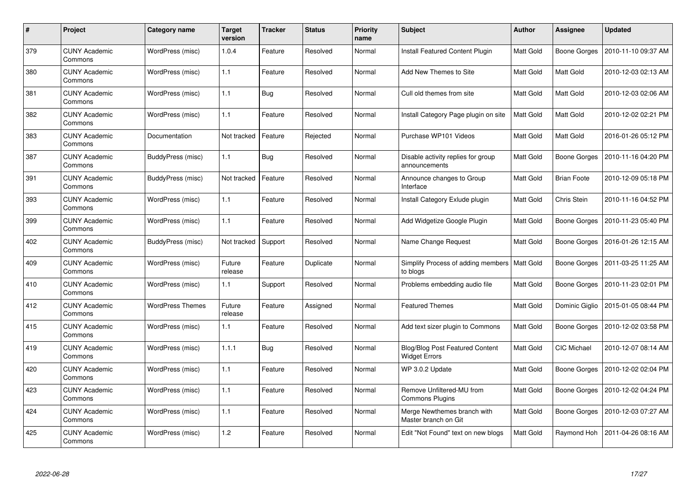| #   | Project                         | Category name           | <b>Target</b><br>version | <b>Tracker</b> | <b>Status</b> | <b>Priority</b><br>name | <b>Subject</b>                                          | <b>Author</b>    | Assignee            | <b>Updated</b>      |
|-----|---------------------------------|-------------------------|--------------------------|----------------|---------------|-------------------------|---------------------------------------------------------|------------------|---------------------|---------------------|
| 379 | <b>CUNY Academic</b><br>Commons | WordPress (misc)        | 1.0.4                    | Feature        | Resolved      | Normal                  | <b>Install Featured Content Plugin</b>                  | Matt Gold        | Boone Gorges        | 2010-11-10 09:37 AM |
| 380 | <b>CUNY Academic</b><br>Commons | WordPress (misc)        | 1.1                      | Feature        | Resolved      | Normal                  | Add New Themes to Site                                  | Matt Gold        | Matt Gold           | 2010-12-03 02:13 AM |
| 381 | <b>CUNY Academic</b><br>Commons | WordPress (misc)        | 1.1                      | <b>Bug</b>     | Resolved      | Normal                  | Cull old themes from site                               | Matt Gold        | Matt Gold           | 2010-12-03 02:06 AM |
| 382 | <b>CUNY Academic</b><br>Commons | WordPress (misc)        | 1.1                      | Feature        | Resolved      | Normal                  | Install Category Page plugin on site                    | Matt Gold        | Matt Gold           | 2010-12-02 02:21 PM |
| 383 | <b>CUNY Academic</b><br>Commons | Documentation           | Not tracked              | Feature        | Rejected      | Normal                  | Purchase WP101 Videos                                   | Matt Gold        | Matt Gold           | 2016-01-26 05:12 PM |
| 387 | <b>CUNY Academic</b><br>Commons | BuddyPress (misc)       | 1.1                      | <b>Bug</b>     | Resolved      | Normal                  | Disable activity replies for group<br>announcements     | Matt Gold        | <b>Boone Gorges</b> | 2010-11-16 04:20 PM |
| 391 | <b>CUNY Academic</b><br>Commons | BuddyPress (misc)       | Not tracked              | Feature        | Resolved      | Normal                  | Announce changes to Group<br>Interface                  | Matt Gold        | <b>Brian Foote</b>  | 2010-12-09 05:18 PM |
| 393 | <b>CUNY Academic</b><br>Commons | WordPress (misc)        | 1.1                      | Feature        | Resolved      | Normal                  | Install Category Exlude plugin                          | <b>Matt Gold</b> | Chris Stein         | 2010-11-16 04:52 PM |
| 399 | <b>CUNY Academic</b><br>Commons | WordPress (misc)        | 1.1                      | Feature        | Resolved      | Normal                  | Add Widgetize Google Plugin                             | Matt Gold        | Boone Gorges        | 2010-11-23 05:40 PM |
| 402 | <b>CUNY Academic</b><br>Commons | BuddyPress (misc)       | Not tracked              | Support        | Resolved      | Normal                  | Name Change Request                                     | Matt Gold        | Boone Gorges        | 2016-01-26 12:15 AM |
| 409 | <b>CUNY Academic</b><br>Commons | WordPress (misc)        | Future<br>release        | Feature        | Duplicate     | Normal                  | Simplify Process of adding members<br>to blogs          | Matt Gold        | <b>Boone Gorges</b> | 2011-03-25 11:25 AM |
| 410 | <b>CUNY Academic</b><br>Commons | WordPress (misc)        | 1.1                      | Support        | Resolved      | Normal                  | Problems embedding audio file                           | Matt Gold        | Boone Gorges        | 2010-11-23 02:01 PM |
| 412 | <b>CUNY Academic</b><br>Commons | <b>WordPress Themes</b> | Future<br>release        | Feature        | Assigned      | Normal                  | <b>Featured Themes</b>                                  | Matt Gold        | Dominic Giglio      | 2015-01-05 08:44 PM |
| 415 | <b>CUNY Academic</b><br>Commons | WordPress (misc)        | 1.1                      | Feature        | Resolved      | Normal                  | Add text sizer plugin to Commons                        | Matt Gold        | Boone Gorges        | 2010-12-02 03:58 PM |
| 419 | <b>CUNY Academic</b><br>Commons | WordPress (misc)        | 1.1.1                    | <b>Bug</b>     | Resolved      | Normal                  | Blog/Blog Post Featured Content<br><b>Widget Errors</b> | Matt Gold        | CIC Michael         | 2010-12-07 08:14 AM |
| 420 | <b>CUNY Academic</b><br>Commons | WordPress (misc)        | 1.1                      | Feature        | Resolved      | Normal                  | WP 3.0.2 Update                                         | Matt Gold        | Boone Gorges        | 2010-12-02 02:04 PM |
| 423 | <b>CUNY Academic</b><br>Commons | WordPress (misc)        | 1.1                      | Feature        | Resolved      | Normal                  | Remove Unfiltered-MU from<br><b>Commons Plugins</b>     | Matt Gold        | Boone Gorges        | 2010-12-02 04:24 PM |
| 424 | <b>CUNY Academic</b><br>Commons | WordPress (misc)        | 1.1                      | Feature        | Resolved      | Normal                  | Merge Newthemes branch with<br>Master branch on Git     | Matt Gold        | Boone Gorges        | 2010-12-03 07:27 AM |
| 425 | CUNY Academic<br>Commons        | WordPress (misc)        | 1.2                      | Feature        | Resolved      | Normal                  | Edit "Not Found" text on new blogs                      | Matt Gold        | Raymond Hoh         | 2011-04-26 08:16 AM |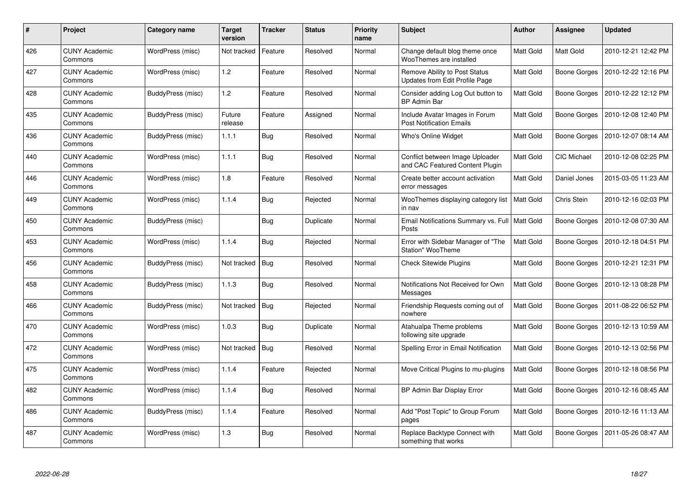| $\#$ | <b>Project</b>                  | Category name            | Target<br>version | <b>Tracker</b> | <b>Status</b> | <b>Priority</b><br>name | <b>Subject</b>                                                     | <b>Author</b>    | Assignee            | <b>Updated</b>      |
|------|---------------------------------|--------------------------|-------------------|----------------|---------------|-------------------------|--------------------------------------------------------------------|------------------|---------------------|---------------------|
| 426  | <b>CUNY Academic</b><br>Commons | WordPress (misc)         | Not tracked       | Feature        | Resolved      | Normal                  | Change default blog theme once<br>WooThemes are installed          | <b>Matt Gold</b> | Matt Gold           | 2010-12-21 12:42 PM |
| 427  | <b>CUNY Academic</b><br>Commons | WordPress (misc)         | 1.2               | Feature        | Resolved      | Normal                  | Remove Ability to Post Status<br>Updates from Edit Profile Page    | <b>Matt Gold</b> | Boone Gorges        | 2010-12-22 12:16 PM |
| 428  | <b>CUNY Academic</b><br>Commons | BuddyPress (misc)        | 1.2               | Feature        | Resolved      | Normal                  | Consider adding Log Out button to<br><b>BP Admin Bar</b>           | <b>Matt Gold</b> | Boone Gorges        | 2010-12-22 12:12 PM |
| 435  | <b>CUNY Academic</b><br>Commons | BuddyPress (misc)        | Future<br>release | Feature        | Assigned      | Normal                  | Include Avatar Images in Forum<br><b>Post Notification Emails</b>  | Matt Gold        | Boone Gorges        | 2010-12-08 12:40 PM |
| 436  | <b>CUNY Academic</b><br>Commons | <b>BuddyPress (misc)</b> | 1.1.1             | <b>Bug</b>     | Resolved      | Normal                  | Who's Online Widget                                                | <b>Matt Gold</b> | Boone Gorges        | 2010-12-07 08:14 AM |
| 440  | <b>CUNY Academic</b><br>Commons | WordPress (misc)         | 1.1.1             | <b>Bug</b>     | Resolved      | Normal                  | Conflict between Image Uploader<br>and CAC Featured Content Plugin | Matt Gold        | <b>CIC Michael</b>  | 2010-12-08 02:25 PM |
| 446  | <b>CUNY Academic</b><br>Commons | WordPress (misc)         | 1.8               | Feature        | Resolved      | Normal                  | Create better account activation<br>error messages                 | Matt Gold        | Daniel Jones        | 2015-03-05 11:23 AM |
| 449  | <b>CUNY Academic</b><br>Commons | WordPress (misc)         | 1.1.4             | <b>Bug</b>     | Rejected      | Normal                  | WooThemes displaying category list<br>in nav                       | <b>Matt Gold</b> | <b>Chris Stein</b>  | 2010-12-16 02:03 PM |
| 450  | <b>CUNY Academic</b><br>Commons | <b>BuddyPress (misc)</b> |                   | Bug            | Duplicate     | Normal                  | Email Notifications Summary vs. Full   Matt Gold<br>Posts          |                  | Boone Gorges        | 2010-12-08 07:30 AM |
| 453  | <b>CUNY Academic</b><br>Commons | WordPress (misc)         | 1.1.4             | <b>Bug</b>     | Rejected      | Normal                  | Error with Sidebar Manager of "The<br>Station" WooTheme            | Matt Gold        | Boone Gorges        | 2010-12-18 04:51 PM |
| 456  | <b>CUNY Academic</b><br>Commons | BuddyPress (misc)        | Not tracked       | Bug            | Resolved      | Normal                  | <b>Check Sitewide Plugins</b>                                      | Matt Gold        | Boone Gorges        | 2010-12-21 12:31 PM |
| 458  | <b>CUNY Academic</b><br>Commons | <b>BuddyPress (misc)</b> | 1.1.3             | <b>Bug</b>     | Resolved      | Normal                  | Notifications Not Received for Own<br>Messages                     | Matt Gold        | Boone Gorges        | 2010-12-13 08:28 PM |
| 466  | <b>CUNY Academic</b><br>Commons | BuddyPress (misc)        | Not tracked       | Bug            | Rejected      | Normal                  | Friendship Requests coming out of<br>nowhere                       | Matt Gold        | Boone Gorges        | 2011-08-22 06:52 PM |
| 470  | <b>CUNY Academic</b><br>Commons | WordPress (misc)         | 1.0.3             | <b>Bug</b>     | Duplicate     | Normal                  | Atahualpa Theme problems<br>following site upgrade                 | Matt Gold        | Boone Gorges        | 2010-12-13 10:59 AM |
| 472  | <b>CUNY Academic</b><br>Commons | WordPress (misc)         | Not tracked       | Bug            | Resolved      | Normal                  | Spelling Error in Email Notification                               | Matt Gold        | Boone Gorges        | 2010-12-13 02:56 PM |
| 475  | <b>CUNY Academic</b><br>Commons | WordPress (misc)         | 1.1.4             | Feature        | Rejected      | Normal                  | Move Critical Plugins to mu-plugins                                | Matt Gold        | Boone Gorges        | 2010-12-18 08:56 PM |
| 482  | <b>CUNY Academic</b><br>Commons | WordPress (misc)         | 1.1.4             | <b>Bug</b>     | Resolved      | Normal                  | BP Admin Bar Display Error                                         | Matt Gold        | Boone Gorges        | 2010-12-16 08:45 AM |
| 486  | <b>CUNY Academic</b><br>Commons | BuddyPress (misc)        | 1.1.4             | Feature        | Resolved      | Normal                  | Add "Post Topic" to Group Forum<br>pages                           | Matt Gold        | Boone Gorges        | 2010-12-16 11:13 AM |
| 487  | <b>CUNY Academic</b><br>Commons | WordPress (misc)         | 1.3               | Bug            | Resolved      | Normal                  | Replace Backtype Connect with<br>something that works              | <b>Matt Gold</b> | <b>Boone Gorges</b> | 2011-05-26 08:47 AM |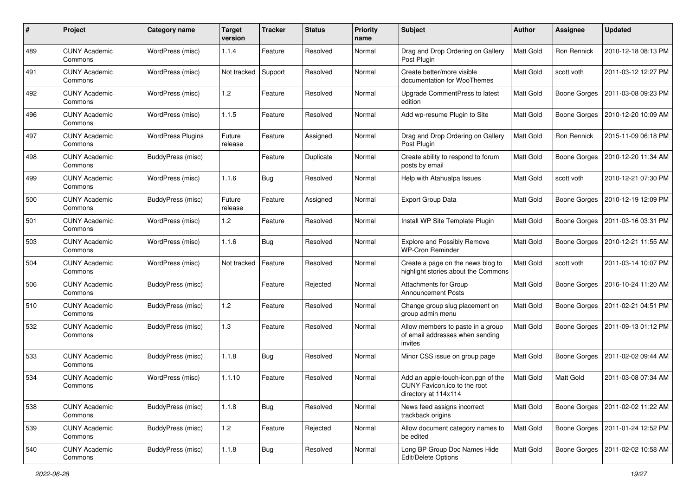| #   | Project                         | <b>Category name</b>     | <b>Target</b><br>version | <b>Tracker</b> | <b>Status</b> | <b>Priority</b><br>name | <b>Subject</b>                                                                              | <b>Author</b>    | Assignee            | <b>Updated</b>                     |
|-----|---------------------------------|--------------------------|--------------------------|----------------|---------------|-------------------------|---------------------------------------------------------------------------------------------|------------------|---------------------|------------------------------------|
| 489 | <b>CUNY Academic</b><br>Commons | WordPress (misc)         | 1.1.4                    | Feature        | Resolved      | Normal                  | Drag and Drop Ordering on Gallery<br>Post Plugin                                            | Matt Gold        | Ron Rennick         | 2010-12-18 08:13 PM                |
| 491 | <b>CUNY Academic</b><br>Commons | WordPress (misc)         | Not tracked              | Support        | Resolved      | Normal                  | Create better/more visible<br>documentation for WooThemes                                   | Matt Gold        | scott voth          | 2011-03-12 12:27 PM                |
| 492 | CUNY Academic<br>Commons        | WordPress (misc)         | 1.2                      | Feature        | Resolved      | Normal                  | Upgrade CommentPress to latest<br>edition                                                   | Matt Gold        | Boone Gorges        | 2011-03-08 09:23 PM                |
| 496 | <b>CUNY Academic</b><br>Commons | WordPress (misc)         | 1.1.5                    | Feature        | Resolved      | Normal                  | Add wp-resume Plugin to Site                                                                | <b>Matt Gold</b> | <b>Boone Gorges</b> | 2010-12-20 10:09 AM                |
| 497 | <b>CUNY Academic</b><br>Commons | <b>WordPress Plugins</b> | Future<br>release        | Feature        | Assigned      | Normal                  | Drag and Drop Ordering on Gallery<br>Post Plugin                                            | <b>Matt Gold</b> | Ron Rennick         | 2015-11-09 06:18 PM                |
| 498 | <b>CUNY Academic</b><br>Commons | BuddyPress (misc)        |                          | Feature        | Duplicate     | Normal                  | Create ability to respond to forum<br>posts by email                                        | Matt Gold        | Boone Gorges        | 2010-12-20 11:34 AM                |
| 499 | <b>CUNY Academic</b><br>Commons | WordPress (misc)         | 1.1.6                    | Bug            | Resolved      | Normal                  | Help with Atahualpa Issues                                                                  | Matt Gold        | scott voth          | 2010-12-21 07:30 PM                |
| 500 | <b>CUNY Academic</b><br>Commons | BuddyPress (misc)        | Future<br>release        | Feature        | Assigned      | Normal                  | <b>Export Group Data</b>                                                                    | Matt Gold        | <b>Boone Gorges</b> | 2010-12-19 12:09 PM                |
| 501 | <b>CUNY Academic</b><br>Commons | WordPress (misc)         | 1.2                      | Feature        | Resolved      | Normal                  | Install WP Site Template Plugin                                                             | Matt Gold        | Boone Gorges        | 2011-03-16 03:31 PM                |
| 503 | CUNY Academic<br>Commons        | WordPress (misc)         | 1.1.6                    | Bug            | Resolved      | Normal                  | <b>Explore and Possibly Remove</b><br><b>WP-Cron Reminder</b>                               | Matt Gold        | Boone Gorges        | 2010-12-21 11:55 AM                |
| 504 | <b>CUNY Academic</b><br>Commons | WordPress (misc)         | Not tracked              | Feature        | Resolved      | Normal                  | Create a page on the news blog to<br>highlight stories about the Commons                    | Matt Gold        | scott voth          | 2011-03-14 10:07 PM                |
| 506 | <b>CUNY Academic</b><br>Commons | BuddyPress (misc)        |                          | Feature        | Rejected      | Normal                  | <b>Attachments for Group</b><br><b>Announcement Posts</b>                                   | <b>Matt Gold</b> |                     | Boone Gorges   2016-10-24 11:20 AM |
| 510 | <b>CUNY Academic</b><br>Commons | BuddyPress (misc)        | 1.2                      | Feature        | Resolved      | Normal                  | Change group slug placement on<br>group admin menu                                          | Matt Gold        | Boone Gorges        | 2011-02-21 04:51 PM                |
| 532 | <b>CUNY Academic</b><br>Commons | BuddyPress (misc)        | 1.3                      | Feature        | Resolved      | Normal                  | Allow members to paste in a group<br>of email addresses when sending<br>invites             | Matt Gold        | Boone Gorges        | 2011-09-13 01:12 PM                |
| 533 | <b>CUNY Academic</b><br>Commons | BuddyPress (misc)        | 1.1.8                    | Bug            | Resolved      | Normal                  | Minor CSS issue on group page                                                               | Matt Gold        | Boone Gorges        | 2011-02-02 09:44 AM                |
| 534 | <b>CUNY Academic</b><br>Commons | WordPress (misc)         | 1.1.10                   | Feature        | Resolved      | Normal                  | Add an apple-touch-icon.pgn of the<br>CUNY Favicon. ico to the root<br>directory at 114x114 | Matt Gold        | <b>Matt Gold</b>    | 2011-03-08 07:34 AM                |
| 538 | <b>CUNY Academic</b><br>Commons | BuddyPress (misc)        | 1.1.8                    | <b>Bug</b>     | Resolved      | Normal                  | News feed assigns incorrect<br>trackback origins                                            | Matt Gold        | Boone Gorges        | 2011-02-02 11:22 AM                |
| 539 | <b>CUNY Academic</b><br>Commons | BuddyPress (misc)        | 1.2                      | Feature        | Rejected      | Normal                  | Allow document category names to<br>be edited                                               | Matt Gold        |                     | Boone Gorges   2011-01-24 12:52 PM |
| 540 | <b>CUNY Academic</b><br>Commons | BuddyPress (misc)        | 1.1.8                    | <b>Bug</b>     | Resolved      | Normal                  | Long BP Group Doc Names Hide<br>Edit/Delete Options                                         | Matt Gold        |                     | Boone Gorges   2011-02-02 10:58 AM |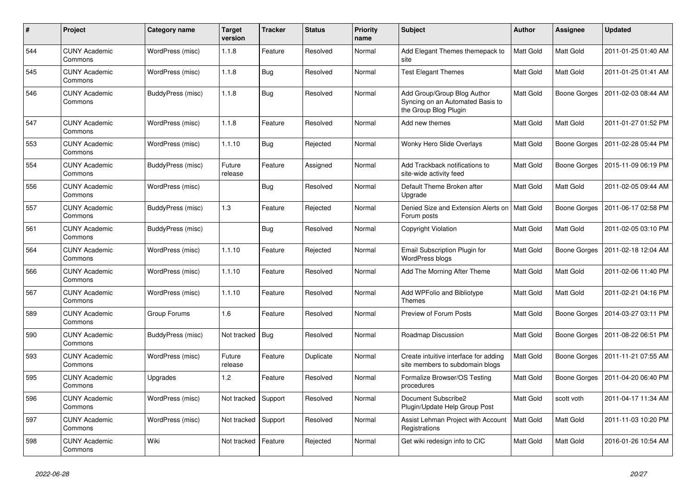| #   | Project                         | Category name     | <b>Target</b><br>version | <b>Tracker</b> | <b>Status</b> | <b>Priority</b><br>name | <b>Subject</b>                                                                           | <b>Author</b>    | <b>Assignee</b>     | <b>Updated</b>      |
|-----|---------------------------------|-------------------|--------------------------|----------------|---------------|-------------------------|------------------------------------------------------------------------------------------|------------------|---------------------|---------------------|
| 544 | <b>CUNY Academic</b><br>Commons | WordPress (misc)  | 1.1.8                    | Feature        | Resolved      | Normal                  | Add Elegant Themes themepack to<br>site                                                  | Matt Gold        | Matt Gold           | 2011-01-25 01:40 AM |
| 545 | <b>CUNY Academic</b><br>Commons | WordPress (misc)  | 1.1.8                    | <b>Bug</b>     | Resolved      | Normal                  | <b>Test Elegant Themes</b>                                                               | Matt Gold        | Matt Gold           | 2011-01-25 01:41 AM |
| 546 | <b>CUNY Academic</b><br>Commons | BuddyPress (misc) | 1.1.8                    | <b>Bug</b>     | Resolved      | Normal                  | Add Group/Group Blog Author<br>Syncing on an Automated Basis to<br>the Group Blog Plugin | Matt Gold        | <b>Boone Gorges</b> | 2011-02-03 08:44 AM |
| 547 | <b>CUNY Academic</b><br>Commons | WordPress (misc)  | 1.1.8                    | Feature        | Resolved      | Normal                  | Add new themes                                                                           | Matt Gold        | Matt Gold           | 2011-01-27 01:52 PM |
| 553 | <b>CUNY Academic</b><br>Commons | WordPress (misc)  | 1.1.10                   | <b>Bug</b>     | Rejected      | Normal                  | Wonky Hero Slide Overlays                                                                | Matt Gold        | Boone Gorges        | 2011-02-28 05:44 PM |
| 554 | <b>CUNY Academic</b><br>Commons | BuddyPress (misc) | Future<br>release        | Feature        | Assigned      | Normal                  | Add Trackback notifications to<br>site-wide activity feed                                | Matt Gold        | Boone Gorges        | 2015-11-09 06:19 PM |
| 556 | <b>CUNY Academic</b><br>Commons | WordPress (misc)  |                          | Bug            | Resolved      | Normal                  | Default Theme Broken after<br>Upgrade                                                    | Matt Gold        | Matt Gold           | 2011-02-05 09:44 AM |
| 557 | <b>CUNY Academic</b><br>Commons | BuddyPress (misc) | 1.3                      | Feature        | Rejected      | Normal                  | Denied Size and Extension Alerts on<br>Forum posts                                       | Matt Gold        | Boone Gorges        | 2011-06-17 02:58 PM |
| 561 | <b>CUNY Academic</b><br>Commons | BuddyPress (misc) |                          | Bug            | Resolved      | Normal                  | Copyright Violation                                                                      | Matt Gold        | Matt Gold           | 2011-02-05 03:10 PM |
| 564 | <b>CUNY Academic</b><br>Commons | WordPress (misc)  | 1.1.10                   | Feature        | Rejected      | Normal                  | Email Subscription Plugin for<br><b>WordPress blogs</b>                                  | Matt Gold        | <b>Boone Gorges</b> | 2011-02-18 12:04 AM |
| 566 | <b>CUNY Academic</b><br>Commons | WordPress (misc)  | 1.1.10                   | Feature        | Resolved      | Normal                  | Add The Morning After Theme                                                              | Matt Gold        | Matt Gold           | 2011-02-06 11:40 PM |
| 567 | <b>CUNY Academic</b><br>Commons | WordPress (misc)  | 1.1.10                   | Feature        | Resolved      | Normal                  | Add WPFolio and Bibliotype<br><b>Themes</b>                                              | Matt Gold        | Matt Gold           | 2011-02-21 04:16 PM |
| 589 | <b>CUNY Academic</b><br>Commons | Group Forums      | 1.6                      | Feature        | Resolved      | Normal                  | Preview of Forum Posts                                                                   | Matt Gold        | Boone Gorges        | 2014-03-27 03:11 PM |
| 590 | <b>CUNY Academic</b><br>Commons | BuddyPress (misc) | Not tracked              | Bug            | Resolved      | Normal                  | Roadmap Discussion                                                                       | Matt Gold        | <b>Boone Gorges</b> | 2011-08-22 06:51 PM |
| 593 | <b>CUNY Academic</b><br>Commons | WordPress (misc)  | Future<br>release        | Feature        | Duplicate     | Normal                  | Create intuitive interface for adding<br>site members to subdomain blogs                 | Matt Gold        | <b>Boone Gorges</b> | 2011-11-21 07:55 AM |
| 595 | <b>CUNY Academic</b><br>Commons | Upgrades          | 1.2                      | Feature        | Resolved      | Normal                  | Formalize Browser/OS Testing<br>procedures                                               | Matt Gold        | Boone Gorges        | 2011-04-20 06:40 PM |
| 596 | <b>CUNY Academic</b><br>Commons | WordPress (misc)  | Not tracked              | Support        | Resolved      | Normal                  | Document Subscribe2<br>Plugin/Update Help Group Post                                     | Matt Gold        | scott voth          | 2011-04-17 11:34 AM |
| 597 | <b>CUNY Academic</b><br>Commons | WordPress (misc)  | Not tracked              | Support        | Resolved      | Normal                  | Assist Lehman Project with Account<br>Registrations                                      | <b>Matt Gold</b> | <b>Matt Gold</b>    | 2011-11-03 10:20 PM |
| 598 | <b>CUNY Academic</b><br>Commons | Wiki              | Not tracked              | Feature        | Rejected      | Normal                  | Get wiki redesign info to CIC                                                            | Matt Gold        | Matt Gold           | 2016-01-26 10:54 AM |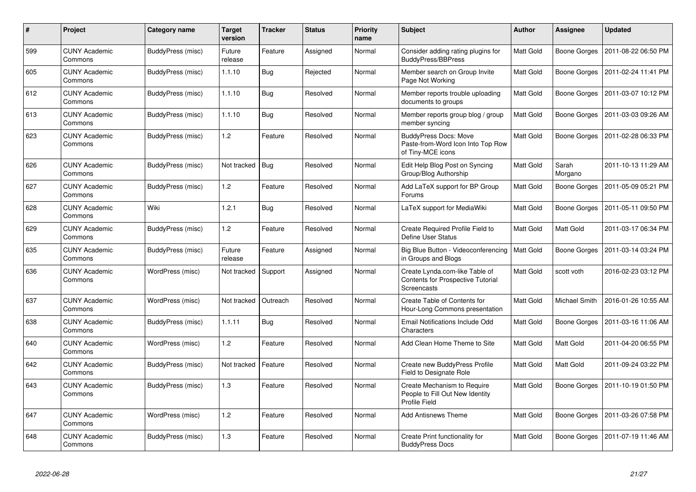| $\#$ | Project                         | Category name            | <b>Target</b><br>version | <b>Tracker</b> | <b>Status</b> | <b>Priority</b><br>name | Subject                                                                                   | <b>Author</b>    | Assignee            | <b>Updated</b>      |
|------|---------------------------------|--------------------------|--------------------------|----------------|---------------|-------------------------|-------------------------------------------------------------------------------------------|------------------|---------------------|---------------------|
| 599  | <b>CUNY Academic</b><br>Commons | BuddyPress (misc)        | Future<br>release        | Feature        | Assigned      | Normal                  | Consider adding rating plugins for<br>BuddyPress/BBPress                                  | <b>Matt Gold</b> | Boone Gorges        | 2011-08-22 06:50 PM |
| 605  | <b>CUNY Academic</b><br>Commons | BuddyPress (misc)        | 1.1.10                   | Bug            | Rejected      | Normal                  | Member search on Group Invite<br>Page Not Working                                         | Matt Gold        | Boone Gorges        | 2011-02-24 11:41 PM |
| 612  | <b>CUNY Academic</b><br>Commons | BuddyPress (misc)        | 1.1.10                   | Bug            | Resolved      | Normal                  | Member reports trouble uploading<br>documents to groups                                   | Matt Gold        | Boone Gorges        | 2011-03-07 10:12 PM |
| 613  | <b>CUNY Academic</b><br>Commons | <b>BuddyPress (misc)</b> | 1.1.10                   | <b>Bug</b>     | Resolved      | Normal                  | Member reports group blog / group<br>member syncing                                       | Matt Gold        | Boone Gorges        | 2011-03-03 09:26 AM |
| 623  | <b>CUNY Academic</b><br>Commons | BuddyPress (misc)        | 1.2                      | Feature        | Resolved      | Normal                  | <b>BuddyPress Docs: Move</b><br>Paste-from-Word Icon Into Top Row<br>of Tiny-MCE icons    | Matt Gold        | <b>Boone Gorges</b> | 2011-02-28 06:33 PM |
| 626  | <b>CUNY Academic</b><br>Commons | BuddyPress (misc)        | Not tracked              | Bug            | Resolved      | Normal                  | Edit Help Blog Post on Syncing<br>Group/Blog Authorship                                   | Matt Gold        | Sarah<br>Morgano    | 2011-10-13 11:29 AM |
| 627  | <b>CUNY Academic</b><br>Commons | BuddyPress (misc)        | 1.2                      | Feature        | Resolved      | Normal                  | Add LaTeX support for BP Group<br>Forums                                                  | Matt Gold        | Boone Gorges        | 2011-05-09 05:21 PM |
| 628  | <b>CUNY Academic</b><br>Commons | Wiki                     | 1.2.1                    | Bug            | Resolved      | Normal                  | LaTeX support for MediaWiki                                                               | Matt Gold        | <b>Boone Gorges</b> | 2011-05-11 09:50 PM |
| 629  | <b>CUNY Academic</b><br>Commons | BuddyPress (misc)        | 1.2                      | Feature        | Resolved      | Normal                  | Create Required Profile Field to<br>Define User Status                                    | Matt Gold        | Matt Gold           | 2011-03-17 06:34 PM |
| 635  | <b>CUNY Academic</b><br>Commons | BuddyPress (misc)        | Future<br>release        | Feature        | Assigned      | Normal                  | Big Blue Button - Videoconferencing<br>in Groups and Blogs                                | Matt Gold        | <b>Boone Gorges</b> | 2011-03-14 03:24 PM |
| 636  | <b>CUNY Academic</b><br>Commons | WordPress (misc)         | Not tracked              | Support        | Assigned      | Normal                  | Create Lynda.com-like Table of<br><b>Contents for Prospective Tutorial</b><br>Screencasts | Matt Gold        | scott voth          | 2016-02-23 03:12 PM |
| 637  | <b>CUNY Academic</b><br>Commons | WordPress (misc)         | Not tracked              | Outreach       | Resolved      | Normal                  | Create Table of Contents for<br>Hour-Long Commons presentation                            | Matt Gold        | Michael Smith       | 2016-01-26 10:55 AM |
| 638  | <b>CUNY Academic</b><br>Commons | BuddyPress (misc)        | 1.1.11                   | Bug            | Resolved      | Normal                  | Email Notifications Include Odd<br>Characters                                             | Matt Gold        | Boone Gorges        | 2011-03-16 11:06 AM |
| 640  | <b>CUNY Academic</b><br>Commons | WordPress (misc)         | 1.2                      | Feature        | Resolved      | Normal                  | Add Clean Home Theme to Site                                                              | Matt Gold        | Matt Gold           | 2011-04-20 06:55 PM |
| 642  | <b>CUNY Academic</b><br>Commons | BuddyPress (misc)        | Not tracked              | Feature        | Resolved      | Normal                  | Create new BuddyPress Profile<br>Field to Designate Role                                  | Matt Gold        | Matt Gold           | 2011-09-24 03:22 PM |
| 643  | <b>CUNY Academic</b><br>Commons | BuddyPress (misc)        | 1.3                      | Feature        | Resolved      | Normal                  | Create Mechanism to Require<br>People to Fill Out New Identity<br>Profile Field           | Matt Gold        | Boone Gorges        | 2011-10-19 01:50 PM |
| 647  | <b>CUNY Academic</b><br>Commons | WordPress (misc)         | 1.2                      | Feature        | Resolved      | Normal                  | <b>Add Antisnews Theme</b>                                                                | Matt Gold        | Boone Gorges        | 2011-03-26 07:58 PM |
| 648  | <b>CUNY Academic</b><br>Commons | BuddyPress (misc)        | 1.3                      | Feature        | Resolved      | Normal                  | Create Print functionality for<br><b>BuddyPress Docs</b>                                  | Matt Gold        | Boone Gorges        | 2011-07-19 11:46 AM |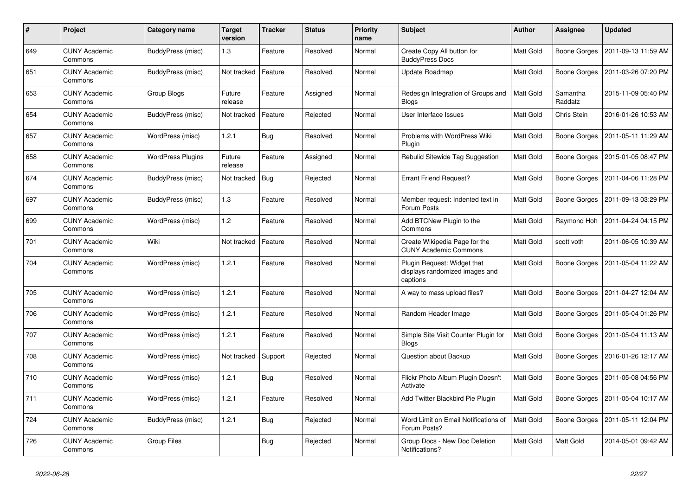| #   | Project                         | Category name            | <b>Target</b><br>version | <b>Tracker</b> | <b>Status</b> | <b>Priority</b><br>name | <b>Subject</b>                                                            | <b>Author</b>    | Assignee            | <b>Updated</b>      |
|-----|---------------------------------|--------------------------|--------------------------|----------------|---------------|-------------------------|---------------------------------------------------------------------------|------------------|---------------------|---------------------|
| 649 | <b>CUNY Academic</b><br>Commons | BuddyPress (misc)        | 1.3                      | Feature        | Resolved      | Normal                  | Create Copy All button for<br><b>BuddyPress Docs</b>                      | Matt Gold        | <b>Boone Gorges</b> | 2011-09-13 11:59 AM |
| 651 | <b>CUNY Academic</b><br>Commons | BuddyPress (misc)        | Not tracked              | Feature        | Resolved      | Normal                  | Update Roadmap                                                            | Matt Gold        | <b>Boone Gorges</b> | 2011-03-26 07:20 PM |
| 653 | CUNY Academic<br>Commons        | Group Blogs              | Future<br>release        | Feature        | Assigned      | Normal                  | Redesign Integration of Groups and<br><b>Blogs</b>                        | Matt Gold        | Samantha<br>Raddatz | 2015-11-09 05:40 PM |
| 654 | <b>CUNY Academic</b><br>Commons | BuddyPress (misc)        | Not tracked              | Feature        | Rejected      | Normal                  | User Interface Issues                                                     | Matt Gold        | Chris Stein         | 2016-01-26 10:53 AM |
| 657 | <b>CUNY Academic</b><br>Commons | WordPress (misc)         | 1.2.1                    | <b>Bug</b>     | Resolved      | Normal                  | Problems with WordPress Wiki<br>Plugin                                    | Matt Gold        | Boone Gorges        | 2011-05-11 11:29 AM |
| 658 | <b>CUNY Academic</b><br>Commons | <b>WordPress Plugins</b> | Future<br>release        | Feature        | Assigned      | Normal                  | Rebulid Sitewide Tag Suggestion                                           | Matt Gold        | <b>Boone Gorges</b> | 2015-01-05 08:47 PM |
| 674 | <b>CUNY Academic</b><br>Commons | BuddyPress (misc)        | Not tracked              | Bug            | Rejected      | Normal                  | <b>Errant Friend Request?</b>                                             | Matt Gold        | Boone Gorges        | 2011-04-06 11:28 PM |
| 697 | <b>CUNY Academic</b><br>Commons | BuddyPress (misc)        | 1.3                      | Feature        | Resolved      | Normal                  | Member request: Indented text in<br>Forum Posts                           | <b>Matt Gold</b> | Boone Gorges        | 2011-09-13 03:29 PM |
| 699 | <b>CUNY Academic</b><br>Commons | WordPress (misc)         | 1.2                      | Feature        | Resolved      | Normal                  | Add BTCNew Plugin to the<br>Commons                                       | Matt Gold        | Raymond Hoh         | 2011-04-24 04:15 PM |
| 701 | <b>CUNY Academic</b><br>Commons | Wiki                     | Not tracked              | Feature        | Resolved      | Normal                  | Create Wikipedia Page for the<br><b>CUNY Academic Commons</b>             | Matt Gold        | scott voth          | 2011-06-05 10:39 AM |
| 704 | <b>CUNY Academic</b><br>Commons | WordPress (misc)         | 1.2.1                    | Feature        | Resolved      | Normal                  | Plugin Request: Widget that<br>displays randomized images and<br>captions | Matt Gold        | <b>Boone Gorges</b> | 2011-05-04 11:22 AM |
| 705 | <b>CUNY Academic</b><br>Commons | WordPress (misc)         | 1.2.1                    | Feature        | Resolved      | Normal                  | A way to mass upload files?                                               | Matt Gold        | Boone Gorges        | 2011-04-27 12:04 AM |
| 706 | <b>CUNY Academic</b><br>Commons | WordPress (misc)         | 1.2.1                    | Feature        | Resolved      | Normal                  | Random Header Image                                                       | Matt Gold        | Boone Gorges        | 2011-05-04 01:26 PM |
| 707 | <b>CUNY Academic</b><br>Commons | WordPress (misc)         | 1.2.1                    | Feature        | Resolved      | Normal                  | Simple Site Visit Counter Plugin for<br><b>Blogs</b>                      | Matt Gold        | <b>Boone Gorges</b> | 2011-05-04 11:13 AM |
| 708 | <b>CUNY Academic</b><br>Commons | WordPress (misc)         | Not tracked              | Support        | Rejected      | Normal                  | Question about Backup                                                     | Matt Gold        | Boone Gorges        | 2016-01-26 12:17 AM |
| 710 | <b>CUNY Academic</b><br>Commons | WordPress (misc)         | 1.2.1                    | <b>Bug</b>     | Resolved      | Normal                  | Flickr Photo Album Plugin Doesn't<br>Activate                             | Matt Gold        | Boone Gorges        | 2011-05-08 04:56 PM |
| 711 | <b>CUNY Academic</b><br>Commons | WordPress (misc)         | 1.2.1                    | Feature        | Resolved      | Normal                  | Add Twitter Blackbird Pie Plugin                                          | Matt Gold        | Boone Gorges        | 2011-05-04 10:17 AM |
| 724 | <b>CUNY Academic</b><br>Commons | BuddyPress (misc)        | 1.2.1                    | <b>Bug</b>     | Rejected      | Normal                  | Word Limit on Email Notifications of<br>Forum Posts?                      | Matt Gold        | Boone Gorges        | 2011-05-11 12:04 PM |
| 726 | <b>CUNY Academic</b><br>Commons | Group Files              |                          | Bug            | Rejected      | Normal                  | Group Docs - New Doc Deletion<br>Notifications?                           | Matt Gold        | Matt Gold           | 2014-05-01 09:42 AM |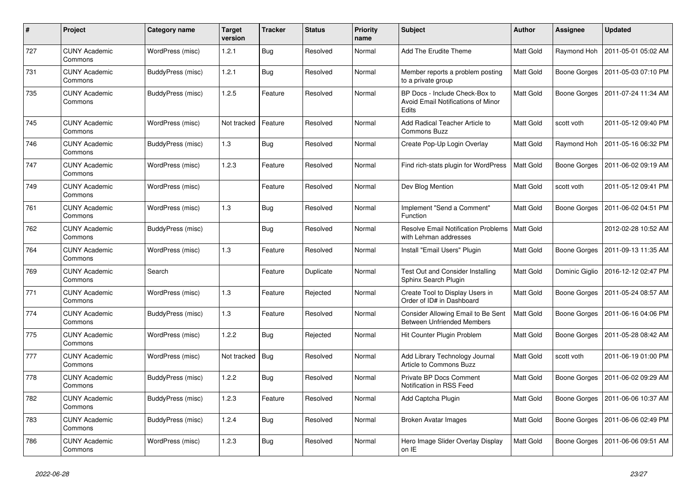| $\#$ | Project                         | Category name            | <b>Target</b><br>version | <b>Tracker</b> | <b>Status</b> | Priority<br>name | <b>Subject</b>                                                                       | <b>Author</b>    | <b>Assignee</b> | <b>Updated</b>      |
|------|---------------------------------|--------------------------|--------------------------|----------------|---------------|------------------|--------------------------------------------------------------------------------------|------------------|-----------------|---------------------|
| 727  | <b>CUNY Academic</b><br>Commons | WordPress (misc)         | 1.2.1                    | <b>Bug</b>     | Resolved      | Normal           | Add The Erudite Theme                                                                | <b>Matt Gold</b> | Raymond Hoh     | 2011-05-01 05:02 AM |
| 731  | <b>CUNY Academic</b><br>Commons | <b>BuddyPress (misc)</b> | 1.2.1                    | <b>Bug</b>     | Resolved      | Normal           | Member reports a problem posting<br>to a private group                               | Matt Gold        | Boone Gorges    | 2011-05-03 07:10 PM |
| 735  | <b>CUNY Academic</b><br>Commons | BuddyPress (misc)        | 1.2.5                    | Feature        | Resolved      | Normal           | BP Docs - Include Check-Box to<br><b>Avoid Email Notifications of Minor</b><br>Edits | Matt Gold        | Boone Gorges    | 2011-07-24 11:34 AM |
| 745  | <b>CUNY Academic</b><br>Commons | WordPress (misc)         | Not tracked              | Feature        | Resolved      | Normal           | Add Radical Teacher Article to<br><b>Commons Buzz</b>                                | <b>Matt Gold</b> | scott voth      | 2011-05-12 09:40 PM |
| 746  | <b>CUNY Academic</b><br>Commons | BuddyPress (misc)        | 1.3                      | Bug            | Resolved      | Normal           | Create Pop-Up Login Overlay                                                          | Matt Gold        | Raymond Hoh     | 2011-05-16 06:32 PM |
| 747  | <b>CUNY Academic</b><br>Commons | WordPress (misc)         | 1.2.3                    | Feature        | Resolved      | Normal           | Find rich-stats plugin for WordPress                                                 | Matt Gold        | Boone Gorges    | 2011-06-02 09:19 AM |
| 749  | <b>CUNY Academic</b><br>Commons | WordPress (misc)         |                          | Feature        | Resolved      | Normal           | Dev Blog Mention                                                                     | <b>Matt Gold</b> | scott voth      | 2011-05-12 09:41 PM |
| 761  | <b>CUNY Academic</b><br>Commons | WordPress (misc)         | 1.3                      | <b>Bug</b>     | Resolved      | Normal           | Implement "Send a Comment"<br>Function                                               | Matt Gold        | Boone Gorges    | 2011-06-02 04:51 PM |
| 762  | <b>CUNY Academic</b><br>Commons | BuddyPress (misc)        |                          | <b>Bug</b>     | Resolved      | Normal           | <b>Resolve Email Notification Problems</b><br>with Lehman addresses                  | Matt Gold        |                 | 2012-02-28 10:52 AM |
| 764  | <b>CUNY Academic</b><br>Commons | WordPress (misc)         | 1.3                      | Feature        | Resolved      | Normal           | Install "Email Users" Plugin                                                         | Matt Gold        | Boone Gorges    | 2011-09-13 11:35 AM |
| 769  | <b>CUNY Academic</b><br>Commons | Search                   |                          | Feature        | Duplicate     | Normal           | Test Out and Consider Installing<br>Sphinx Search Plugin                             | Matt Gold        | Dominic Giglio  | 2016-12-12 02:47 PM |
| 771  | <b>CUNY Academic</b><br>Commons | WordPress (misc)         | 1.3                      | Feature        | Rejected      | Normal           | Create Tool to Display Users in<br>Order of ID# in Dashboard                         | Matt Gold        | Boone Gorges    | 2011-05-24 08:57 AM |
| 774  | <b>CUNY Academic</b><br>Commons | <b>BuddyPress (misc)</b> | $1.3$                    | Feature        | Resolved      | Normal           | Consider Allowing Email to Be Sent<br><b>Between Unfriended Members</b>              | Matt Gold        | Boone Gorges    | 2011-06-16 04:06 PM |
| 775  | <b>CUNY Academic</b><br>Commons | WordPress (misc)         | 1.2.2                    | <b>Bug</b>     | Rejected      | Normal           | Hit Counter Plugin Problem                                                           | Matt Gold        | Boone Gorges    | 2011-05-28 08:42 AM |
| 777  | <b>CUNY Academic</b><br>Commons | WordPress (misc)         | Not tracked              | Bug            | Resolved      | Normal           | Add Library Technology Journal<br>Article to Commons Buzz                            | Matt Gold        | scott voth      | 2011-06-19 01:00 PM |
| 778  | <b>CUNY Academic</b><br>Commons | <b>BuddyPress (misc)</b> | 1.2.2                    | <b>Bug</b>     | Resolved      | Normal           | Private BP Docs Comment<br>Notification in RSS Feed                                  | Matt Gold        | Boone Gorges    | 2011-06-02 09:29 AM |
| 782  | <b>CUNY Academic</b><br>Commons | BuddyPress (misc)        | 1.2.3                    | Feature        | Resolved      | Normal           | Add Captcha Plugin                                                                   | Matt Gold        | Boone Gorges    | 2011-06-06 10:37 AM |
| 783  | <b>CUNY Academic</b><br>Commons | BuddyPress (misc)        | 1.2.4                    | <b>Bug</b>     | Resolved      | Normal           | Broken Avatar Images                                                                 | Matt Gold        | Boone Gorges    | 2011-06-06 02:49 PM |
| 786  | <b>CUNY Academic</b><br>Commons | WordPress (misc)         | 1.2.3                    | <b>Bug</b>     | Resolved      | Normal           | Hero Image Slider Overlay Display<br>on IE                                           | Matt Gold        | Boone Gorges    | 2011-06-06 09:51 AM |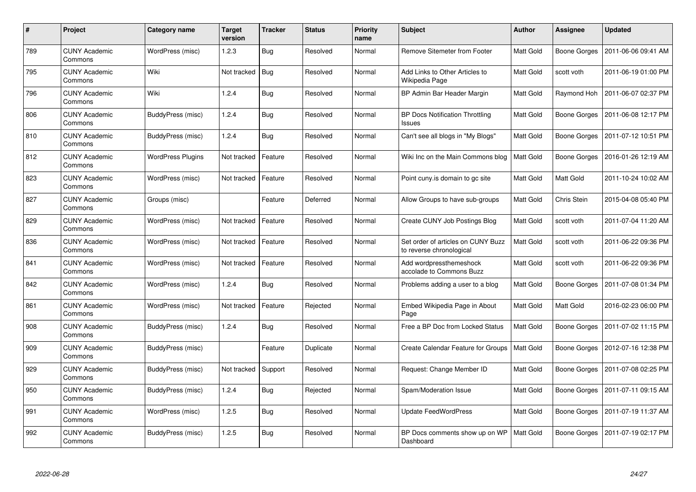| $\#$ | <b>Project</b>                  | Category name            | <b>Target</b><br>version | <b>Tracker</b> | <b>Status</b> | <b>Priority</b><br>name | <b>Subject</b>                                                 | <b>Author</b>    | Assignee            | <b>Updated</b>      |
|------|---------------------------------|--------------------------|--------------------------|----------------|---------------|-------------------------|----------------------------------------------------------------|------------------|---------------------|---------------------|
| 789  | <b>CUNY Academic</b><br>Commons | WordPress (misc)         | 1.2.3                    | <b>Bug</b>     | Resolved      | Normal                  | Remove Sitemeter from Footer                                   | Matt Gold        | <b>Boone Gorges</b> | 2011-06-06 09:41 AM |
| 795  | <b>CUNY Academic</b><br>Commons | Wiki                     | Not tracked              | Bug            | Resolved      | Normal                  | Add Links to Other Articles to<br>Wikipedia Page               | <b>Matt Gold</b> | scott voth          | 2011-06-19 01:00 PM |
| 796  | <b>CUNY Academic</b><br>Commons | Wiki                     | 1.2.4                    | <b>Bug</b>     | Resolved      | Normal                  | BP Admin Bar Header Margin                                     | Matt Gold        | Raymond Hoh         | 2011-06-07 02:37 PM |
| 806  | <b>CUNY Academic</b><br>Commons | BuddyPress (misc)        | 1.2.4                    | <b>Bug</b>     | Resolved      | Normal                  | <b>BP Docs Notification Throttling</b><br>Issues               | Matt Gold        | Boone Gorges        | 2011-06-08 12:17 PM |
| 810  | <b>CUNY Academic</b><br>Commons | BuddyPress (misc)        | 1.2.4                    | Bug            | Resolved      | Normal                  | Can't see all blogs in "My Blogs"                              | Matt Gold        | Boone Gorges        | 2011-07-12 10:51 PM |
| 812  | <b>CUNY Academic</b><br>Commons | <b>WordPress Plugins</b> | Not tracked              | Feature        | Resolved      | Normal                  | Wiki Inc on the Main Commons blog                              | <b>Matt Gold</b> | Boone Gorges        | 2016-01-26 12:19 AM |
| 823  | <b>CUNY Academic</b><br>Commons | WordPress (misc)         | Not tracked              | Feature        | Resolved      | Normal                  | Point cuny is domain to go site                                | Matt Gold        | Matt Gold           | 2011-10-24 10:02 AM |
| 827  | <b>CUNY Academic</b><br>Commons | Groups (misc)            |                          | Feature        | Deferred      | Normal                  | Allow Groups to have sub-groups                                | Matt Gold        | Chris Stein         | 2015-04-08 05:40 PM |
| 829  | <b>CUNY Academic</b><br>Commons | WordPress (misc)         | Not tracked              | Feature        | Resolved      | Normal                  | Create CUNY Job Postings Blog                                  | Matt Gold        | scott voth          | 2011-07-04 11:20 AM |
| 836  | <b>CUNY Academic</b><br>Commons | WordPress (misc)         | Not tracked              | Feature        | Resolved      | Normal                  | Set order of articles on CUNY Buzz<br>to reverse chronological | <b>Matt Gold</b> | scott voth          | 2011-06-22 09:36 PM |
| 841  | <b>CUNY Academic</b><br>Commons | WordPress (misc)         | Not tracked              | Feature        | Resolved      | Normal                  | Add wordpressthemeshock<br>accolade to Commons Buzz            | Matt Gold        | scott voth          | 2011-06-22 09:36 PM |
| 842  | <b>CUNY Academic</b><br>Commons | WordPress (misc)         | 1.2.4                    | <b>Bug</b>     | Resolved      | Normal                  | Problems adding a user to a blog                               | Matt Gold        | <b>Boone Gorges</b> | 2011-07-08 01:34 PM |
| 861  | <b>CUNY Academic</b><br>Commons | WordPress (misc)         | Not tracked              | Feature        | Rejected      | Normal                  | Embed Wikipedia Page in About<br>Page                          | Matt Gold        | Matt Gold           | 2016-02-23 06:00 PM |
| 908  | <b>CUNY Academic</b><br>Commons | BuddyPress (misc)        | 1.2.4                    | <b>Bug</b>     | Resolved      | Normal                  | Free a BP Doc from Locked Status                               | Matt Gold        | Boone Gorges        | 2011-07-02 11:15 PM |
| 909  | <b>CUNY Academic</b><br>Commons | BuddyPress (misc)        |                          | Feature        | Duplicate     | Normal                  | Create Calendar Feature for Groups                             | Matt Gold        | Boone Gorges        | 2012-07-16 12:38 PM |
| 929  | <b>CUNY Academic</b><br>Commons | <b>BuddyPress (misc)</b> | Not tracked              | Support        | Resolved      | Normal                  | Request: Change Member ID                                      | Matt Gold        | Boone Gorges        | 2011-07-08 02:25 PM |
| 950  | <b>CUNY Academic</b><br>Commons | BuddyPress (misc)        | 1.2.4                    | <b>Bug</b>     | Rejected      | Normal                  | Spam/Moderation Issue                                          | Matt Gold        | Boone Gorges        | 2011-07-11 09:15 AM |
| 991  | <b>CUNY Academic</b><br>Commons | WordPress (misc)         | 1.2.5                    | <b>Bug</b>     | Resolved      | Normal                  | <b>Update FeedWordPress</b>                                    | Matt Gold        | Boone Gorges        | 2011-07-19 11:37 AM |
| 992  | <b>CUNY Academic</b><br>Commons | BuddyPress (misc)        | 1.2.5                    | <b>Bug</b>     | Resolved      | Normal                  | BP Docs comments show up on WP<br>Dashboard                    | Matt Gold        | <b>Boone Gorges</b> | 2011-07-19 02:17 PM |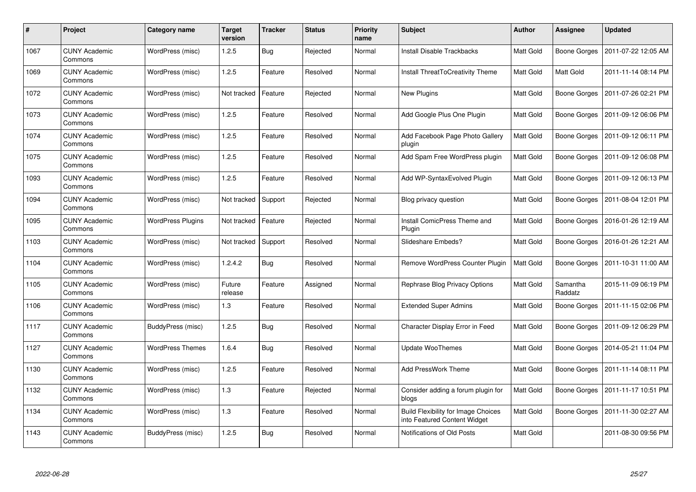| #    | Project                         | Category name            | <b>Target</b><br>version | <b>Tracker</b> | <b>Status</b> | <b>Priority</b><br>name | <b>Subject</b>                                                             | <b>Author</b>    | Assignee            | <b>Updated</b>      |
|------|---------------------------------|--------------------------|--------------------------|----------------|---------------|-------------------------|----------------------------------------------------------------------------|------------------|---------------------|---------------------|
| 1067 | <b>CUNY Academic</b><br>Commons | WordPress (misc)         | 1.2.5                    | <b>Bug</b>     | Rejected      | Normal                  | <b>Install Disable Trackbacks</b>                                          | Matt Gold        | Boone Gorges        | 2011-07-22 12:05 AM |
| 1069 | <b>CUNY Academic</b><br>Commons | WordPress (misc)         | 1.2.5                    | Feature        | Resolved      | Normal                  | Install ThreatToCreativity Theme                                           | Matt Gold        | Matt Gold           | 2011-11-14 08:14 PM |
| 1072 | <b>CUNY Academic</b><br>Commons | WordPress (misc)         | Not tracked              | Feature        | Rejected      | Normal                  | New Plugins                                                                | Matt Gold        | <b>Boone Gorges</b> | 2011-07-26 02:21 PM |
| 1073 | CUNY Academic<br>Commons        | WordPress (misc)         | 1.2.5                    | Feature        | Resolved      | Normal                  | Add Google Plus One Plugin                                                 | Matt Gold        | Boone Gorges        | 2011-09-12 06:06 PM |
| 1074 | <b>CUNY Academic</b><br>Commons | WordPress (misc)         | 1.2.5                    | Feature        | Resolved      | Normal                  | Add Facebook Page Photo Gallery<br>plugin                                  | Matt Gold        | <b>Boone Gorges</b> | 2011-09-12 06:11 PM |
| 1075 | <b>CUNY Academic</b><br>Commons | WordPress (misc)         | 1.2.5                    | Feature        | Resolved      | Normal                  | Add Spam Free WordPress plugin                                             | Matt Gold        | Boone Gorges        | 2011-09-12 06:08 PM |
| 1093 | <b>CUNY Academic</b><br>Commons | WordPress (misc)         | 1.2.5                    | Feature        | Resolved      | Normal                  | Add WP-SyntaxEvolved Plugin                                                | Matt Gold        | Boone Gorges        | 2011-09-12 06:13 PM |
| 1094 | <b>CUNY Academic</b><br>Commons | WordPress (misc)         | Not tracked              | Support        | Rejected      | Normal                  | Blog privacy question                                                      | Matt Gold        | Boone Gorges        | 2011-08-04 12:01 PM |
| 1095 | <b>CUNY Academic</b><br>Commons | <b>WordPress Plugins</b> | Not tracked              | Feature        | Rejected      | Normal                  | Install ComicPress Theme and<br>Plugin                                     | Matt Gold        | Boone Gorges        | 2016-01-26 12:19 AM |
| 1103 | <b>CUNY Academic</b><br>Commons | WordPress (misc)         | Not tracked              | Support        | Resolved      | Normal                  | Slideshare Embeds?                                                         | Matt Gold        | <b>Boone Gorges</b> | 2016-01-26 12:21 AM |
| 1104 | <b>CUNY Academic</b><br>Commons | WordPress (misc)         | 1.2.4.2                  | Bug            | Resolved      | Normal                  | Remove WordPress Counter Plugin                                            | <b>Matt Gold</b> | Boone Gorges        | 2011-10-31 11:00 AM |
| 1105 | <b>CUNY Academic</b><br>Commons | WordPress (misc)         | Future<br>release        | Feature        | Assigned      | Normal                  | Rephrase Blog Privacy Options                                              | Matt Gold        | Samantha<br>Raddatz | 2015-11-09 06:19 PM |
| 1106 | <b>CUNY Academic</b><br>Commons | WordPress (misc)         | 1.3                      | Feature        | Resolved      | Normal                  | <b>Extended Super Admins</b>                                               | Matt Gold        | Boone Gorges        | 2011-11-15 02:06 PM |
| 1117 | <b>CUNY Academic</b><br>Commons | BuddyPress (misc)        | 1.2.5                    | <b>Bug</b>     | Resolved      | Normal                  | Character Display Error in Feed                                            | Matt Gold        | Boone Gorges        | 2011-09-12 06:29 PM |
| 1127 | <b>CUNY Academic</b><br>Commons | <b>WordPress Themes</b>  | 1.6.4                    | Bug            | Resolved      | Normal                  | Update WooThemes                                                           | Matt Gold        | Boone Gorges        | 2014-05-21 11:04 PM |
| 1130 | <b>CUNY Academic</b><br>Commons | WordPress (misc)         | 1.2.5                    | Feature        | Resolved      | Normal                  | <b>Add PressWork Theme</b>                                                 | Matt Gold        | Boone Gorges        | 2011-11-14 08:11 PM |
| 1132 | <b>CUNY Academic</b><br>Commons | WordPress (misc)         | 1.3                      | Feature        | Rejected      | Normal                  | Consider adding a forum plugin for<br>blogs                                | Matt Gold        | Boone Gorges        | 2011-11-17 10:51 PM |
| 1134 | <b>CUNY Academic</b><br>Commons | WordPress (misc)         | 1.3                      | Feature        | Resolved      | Normal                  | <b>Build Flexibility for Image Choices</b><br>into Featured Content Widget | Matt Gold        | Boone Gorges        | 2011-11-30 02:27 AM |
| 1143 | CUNY Academic<br>Commons        | BuddyPress (misc)        | 1.2.5                    | Bug            | Resolved      | Normal                  | Notifications of Old Posts                                                 | <b>Matt Gold</b> |                     | 2011-08-30 09:56 PM |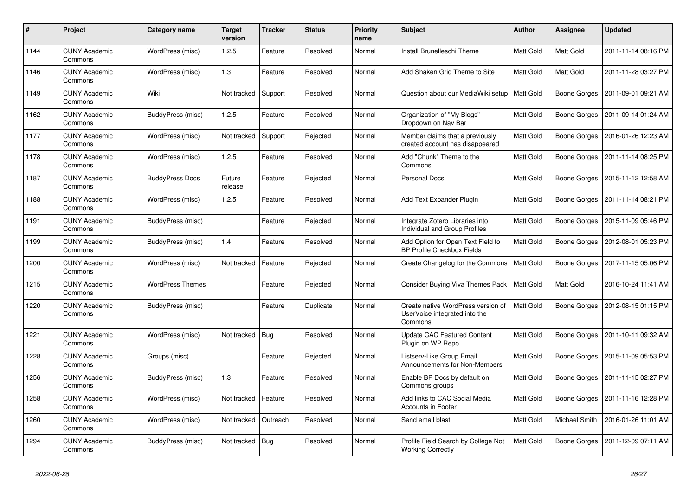| #    | Project                         | <b>Category name</b>    | <b>Target</b><br>version | <b>Tracker</b> | <b>Status</b> | Priority<br>name | <b>Subject</b>                                                                 | <b>Author</b>    | Assignee         | <b>Updated</b>      |
|------|---------------------------------|-------------------------|--------------------------|----------------|---------------|------------------|--------------------------------------------------------------------------------|------------------|------------------|---------------------|
| 1144 | <b>CUNY Academic</b><br>Commons | WordPress (misc)        | 1.2.5                    | Feature        | Resolved      | Normal           | Install Brunelleschi Theme                                                     | Matt Gold        | <b>Matt Gold</b> | 2011-11-14 08:16 PM |
| 1146 | <b>CUNY Academic</b><br>Commons | WordPress (misc)        | 1.3                      | Feature        | Resolved      | Normal           | Add Shaken Grid Theme to Site                                                  | <b>Matt Gold</b> | Matt Gold        | 2011-11-28 03:27 PM |
| 1149 | <b>CUNY Academic</b><br>Commons | Wiki                    | Not tracked              | Support        | Resolved      | Normal           | Question about our MediaWiki setup                                             | Matt Gold        | Boone Gorges     | 2011-09-01 09:21 AM |
| 1162 | <b>CUNY Academic</b><br>Commons | BuddyPress (misc)       | 1.2.5                    | Feature        | Resolved      | Normal           | Organization of "My Blogs"<br>Dropdown on Nav Bar                              | Matt Gold        | Boone Gorges     | 2011-09-14 01:24 AM |
| 1177 | <b>CUNY Academic</b><br>Commons | WordPress (misc)        | Not tracked              | Support        | Rejected      | Normal           | Member claims that a previously<br>created account has disappeared             | Matt Gold        | Boone Gorges     | 2016-01-26 12:23 AM |
| 1178 | <b>CUNY Academic</b><br>Commons | WordPress (misc)        | 1.2.5                    | Feature        | Resolved      | Normal           | Add "Chunk" Theme to the<br>Commons                                            | Matt Gold        | Boone Gorges     | 2011-11-14 08:25 PM |
| 1187 | <b>CUNY Academic</b><br>Commons | <b>BuddyPress Docs</b>  | Future<br>release        | Feature        | Rejected      | Normal           | <b>Personal Docs</b>                                                           | Matt Gold        | Boone Gorges     | 2015-11-12 12:58 AM |
| 1188 | <b>CUNY Academic</b><br>Commons | WordPress (misc)        | 1.2.5                    | Feature        | Resolved      | Normal           | Add Text Expander Plugin                                                       | Matt Gold        | Boone Gorges     | 2011-11-14 08:21 PM |
| 1191 | <b>CUNY Academic</b><br>Commons | BuddyPress (misc)       |                          | Feature        | Rejected      | Normal           | Integrate Zotero Libraries into<br>Individual and Group Profiles               | Matt Gold        | Boone Gorges     | 2015-11-09 05:46 PM |
| 1199 | <b>CUNY Academic</b><br>Commons | BuddyPress (misc)       | 1.4                      | Feature        | Resolved      | Normal           | Add Option for Open Text Field to<br><b>BP Profile Checkbox Fields</b>         | Matt Gold        | Boone Gorges     | 2012-08-01 05:23 PM |
| 1200 | <b>CUNY Academic</b><br>Commons | WordPress (misc)        | Not tracked              | Feature        | Rejected      | Normal           | Create Changelog for the Commons                                               | <b>Matt Gold</b> | Boone Gorges     | 2017-11-15 05:06 PM |
| 1215 | <b>CUNY Academic</b><br>Commons | <b>WordPress Themes</b> |                          | Feature        | Rejected      | Normal           | Consider Buying Viva Themes Pack                                               | Matt Gold        | <b>Matt Gold</b> | 2016-10-24 11:41 AM |
| 1220 | <b>CUNY Academic</b><br>Commons | BuddyPress (misc)       |                          | Feature        | Duplicate     | Normal           | Create native WordPress version of<br>UserVoice integrated into the<br>Commons | Matt Gold        | Boone Gorges     | 2012-08-15 01:15 PM |
| 1221 | <b>CUNY Academic</b><br>Commons | WordPress (misc)        | Not tracked              | Bug            | Resolved      | Normal           | <b>Update CAC Featured Content</b><br>Plugin on WP Repo                        | <b>Matt Gold</b> | Boone Gorges     | 2011-10-11 09:32 AM |
| 1228 | <b>CUNY Academic</b><br>Commons | Groups (misc)           |                          | Feature        | Rejected      | Normal           | Listserv-Like Group Email<br>Announcements for Non-Members                     | Matt Gold        | Boone Gorges     | 2015-11-09 05:53 PM |
| 1256 | <b>CUNY Academic</b><br>Commons | BuddyPress (misc)       | 1.3                      | Feature        | Resolved      | Normal           | Enable BP Docs by default on<br>Commons groups                                 | Matt Gold        | Boone Gorges     | 2011-11-15 02:27 PM |
| 1258 | <b>CUNY Academic</b><br>Commons | WordPress (misc)        | Not tracked              | Feature        | Resolved      | Normal           | Add links to CAC Social Media<br><b>Accounts in Footer</b>                     | Matt Gold        | Boone Gorges     | 2011-11-16 12:28 PM |
| 1260 | <b>CUNY Academic</b><br>Commons | WordPress (misc)        | Not tracked              | Outreach       | Resolved      | Normal           | Send email blast                                                               | Matt Gold        | Michael Smith    | 2016-01-26 11:01 AM |
| 1294 | <b>CUNY Academic</b><br>Commons | BuddyPress (misc)       | Not tracked              | Bug            | Resolved      | Normal           | Profile Field Search by College Not<br><b>Working Correctly</b>                | Matt Gold        | Boone Gorges     | 2011-12-09 07:11 AM |